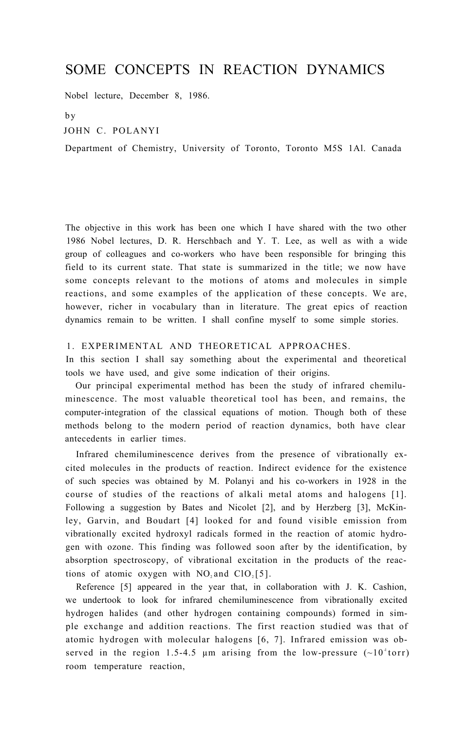# SOME CONCEPTS IN REACTION DYNAMICS

Nobel lecture, December 8, 1986.

by

JOHN C. POLANYI

Department of Chemistry, University of Toronto, Toronto M5S 1Al. Canada

The objective in this work has been one which I have shared with the two other 1986 Nobel lectures, D. R. Herschbach and Y. T. Lee, as well as with a wide group of colleagues and co-workers who have been responsible for bringing this field to its current state. That state is summarized in the title; we now have some concepts relevant to the motions of atoms and molecules in simple reactions, and some examples of the application of these concepts. We are, however, richer in vocabulary than in literature. The great epics of reaction dynamics remain to be written. I shall confine myself to some simple stories.

### 1. EXPERIMENTAL AND THEORETICAL APPROACHES.

In this section I shall say something about the experimental and theoretical tools we have used, and give some indication of their origins.

Our principal experimental method has been the study of infrared chemiluminescence. The most valuable theoretical tool has been, and remains, the computer-integration of the classical equations of motion. Though both of these methods belong to the modern period of reaction dynamics, both have clear antecedents in earlier times.

Infrared chemiluminescence derives from the presence of vibrationally excited molecules in the products of reaction. Indirect evidence for the existence of such species was obtained by M. Polanyi and his co-workers in 1928 in the course of studies of the reactions of alkali metal atoms and halogens [1]. Following a suggestion by Bates and Nicolet [2], and by Herzberg [3], McKinley, Garvin, and Boudart [4] looked for and found visible emission from vibrationally excited hydroxyl radicals formed in the reaction of atomic hydrogen with ozone. This finding was followed soon after by the identification, by absorption spectroscopy, of vibrational excitation in the products of the reactions of atomic oxygen with  $NO$ , and  $ClO$ , [5].

Reference [5] appeared in the year that, in collaboration with J. K. Cashion, we undertook to look for infrared chemiluminescence from vibrationally excited hydrogen halides (and other hydrogen containing compounds) formed in simple exchange and addition reactions. The first reaction studied was that of atomic hydrogen with molecular halogens [6, 7]. Infrared emission was observed in the region 1.5-4.5  $\mu$ m arising from the low-pressure (~10<sup>+</sup>torr) room temperature reaction,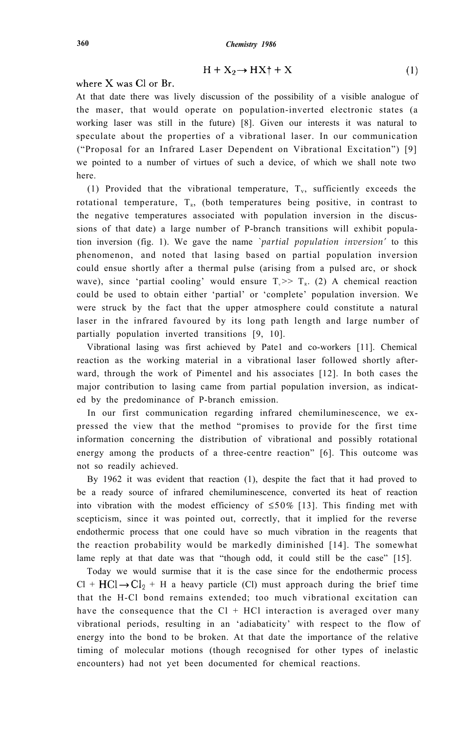$$
H + X_2 \to HX_1^+ + X \tag{1}
$$

where X was Cl or Br.

At that date there was lively discussion of the possibility of a visible analogue of the maser, that would operate on population-inverted electronic states (a working laser was still in the future) [8]. Given our interests it was natural to speculate about the properties of a vibrational laser. In our communication ("Proposal for an Infrared Laser Dependent on Vibrational Excitation") [9] we pointed to a number of virtues of such a device, of which we shall note two here.

(1) Provided that the vibrational temperature,  $T_v$ , sufficiently exceeds the rotational temperature,  $T<sub>s</sub>$ , (both temperatures being positive, in contrast to the negative temperatures associated with population inversion in the discussions of that date) a large number of P-branch transitions will exhibit population inversion (fig. 1). We gave the name *`partial population inversion'* to this phenomenon, and noted that lasing based on partial population inversion could ensue shortly after a thermal pulse (arising from a pulsed arc, or shock wave), since 'partial cooling' would ensure  $T_c$  >>  $T_c$ . (2) A chemical reaction could be used to obtain either 'partial' or 'complete' population inversion. We were struck by the fact that the upper atmosphere could constitute a natural laser in the infrared favoured by its long path length and large number of partially population inverted transitions [9, 10].

Vibrational lasing was first achieved by Pate1 and co-workers [11]. Chemical reaction as the working material in a vibrational laser followed shortly afterward, through the work of Pimentel and his associates [12]. In both cases the major contribution to lasing came from partial population inversion, as indicated by the predominance of P-branch emission.

In our first communication regarding infrared chemiluminescence, we expressed the view that the method "promises to provide for the first time information concerning the distribution of vibrational and possibly rotational energy among the products of a three-centre reaction" [6]. This outcome was not so readily achieved.

By 1962 it was evident that reaction (1), despite the fact that it had proved to be a ready source of infrared chemiluminescence, converted its heat of reaction into vibration with the modest efficiency of  $\leq 50\%$  [13]. This finding met with scepticism, since it was pointed out, correctly, that it implied for the reverse endothermic process that one could have so much vibration in the reagents that the reaction probability would be markedly diminished [14]. The somewhat lame reply at that date was that "though odd, it could still be the case" [15].

Today we would surmise that it is the case since for the endothermic process  $Cl + HCl \rightarrow Cl_2 + H$  a heavy particle (Cl) must approach during the brief time that the H-Cl bond remains extended; too much vibrational excitation can have the consequence that the  $Cl + HCl$  interaction is averaged over many vibrational periods, resulting in an 'adiabaticity' with respect to the flow of energy into the bond to be broken. At that date the importance of the relative timing of molecular motions (though recognised for other types of inelastic encounters) had not yet been documented for chemical reactions.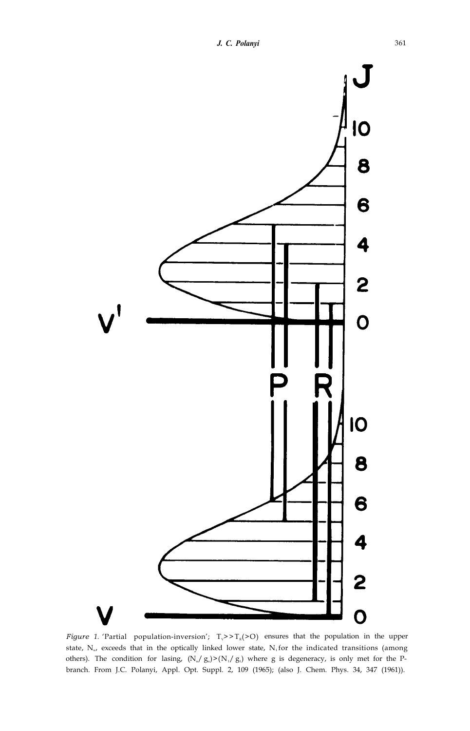

*Figure 1.* 'Partial population-inversion';  $T_v$ >  $T_R$ (>O) ensures that the population in the upper state,  $N_{\nu}$ , exceeds that in the optically linked lower state,  $N_1$  for the indicated transitions (among others). The condition for lasing,  $(N_u/g_u)>(N_1/g_1)$  where g is degeneracy, is only met for the Pbranch. From J.C. Polanyi, Appl. Opt. Suppl. 2, 109 (1965); (also J. Chem. Phys. 34, 347 (1961)).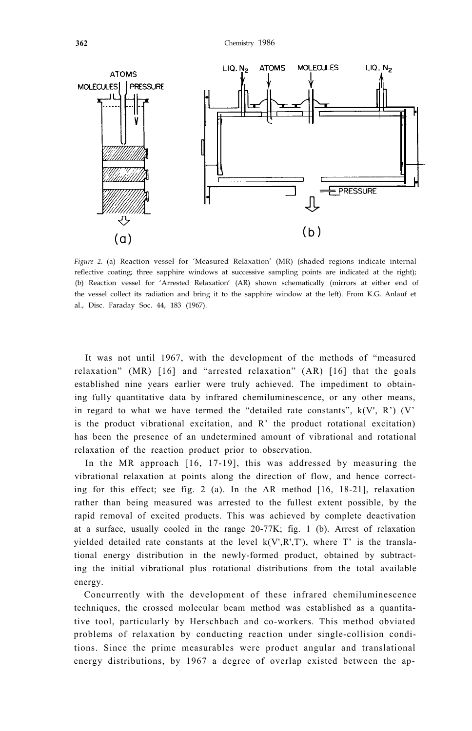

*Figure 2.* (a) Reaction vessel for 'Measured Relaxation' (MR) (shaded regions indicate internal reflective coating; three sapphire windows at successive sampling points are indicated at the right); (b) Reaction vessel for 'Arrested Relaxation' (AR) shown schematically (mirrors at either end of the vessel collect its radiation and bring it to the sapphire window at the left). From K.G. Anlauf et al., Disc. Faraday Soc. 44, 183 (1967).

It was not until 1967, with the development of the methods of "measured relaxation" (MR) [16] and "arrested relaxation" (AR) [16] that the goals established nine years earlier were truly achieved. The impediment to obtaining fully quantitative data by infrared chemiluminescence, or any other means, in regard to what we have termed the "detailed rate constants",  $k(V', R')$  (V' is the product vibrational excitation, and R' the product rotational excitation) has been the presence of an undetermined amount of vibrational and rotational relaxation of the reaction product prior to observation.

In the MR approach [16, 17-19], this was addressed by measuring the vibrational relaxation at points along the direction of flow, and hence correcting for this effect; see fig. 2 (a). In the AR method [16, 18-21], relaxation rather than being measured was arrested to the fullest extent possible, by the rapid removal of excited products. This was achieved by complete deactivation at a surface, usually cooled in the range 20-77K; fig. 1 (b). Arrest of relaxation yielded detailed rate constants at the level  $k(V', R', T')$ , where T' is the translational energy distribution in the newly-formed product, obtained by subtracting the initial vibrational plus rotational distributions from the total available energy.

Concurrently with the development of these infrared chemiluminescence techniques, the crossed molecular beam method was established as a quantitative tool, particularly by Herschbach and co-workers. This method obviated problems of relaxation by conducting reaction under single-collision conditions. Since the prime measurables were product angular and translational energy distributions, by 1967 a degree of overlap existed between the ap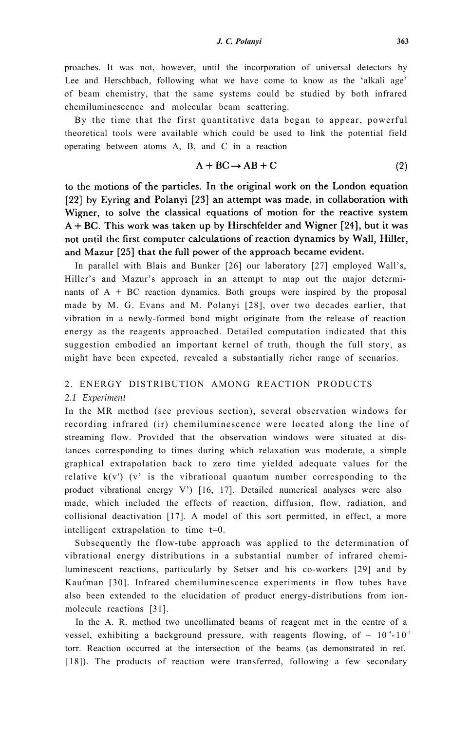proaches. It was not, however, until the incorporation of universal detectors by Lee and Herschbach, following what we have come to know as the 'alkali age' of beam chemistry, that the same systems could be studied by both infrared chemiluminescence and molecular beam scattering.

By the time that the first quantitative data began to appear, powerful theoretical tools were available which could be used to link the potential field operating between atoms A, B, and C in a reaction

$$
A + BC \rightarrow AB + C \tag{2}
$$

to the motions of the particles. In the original work on the London equation [22] by Eyring and Polanyi [23] an attempt was made, in collaboration with Wigner, to solve the classical equations of motion for the reactive system  $A + BC$ . This work was taken up by Hirschfelder and Wigner [24], but it was not until the first computer calculations of reaction dynamics by Wall, Hiller, and Mazur [25] that the full power of the approach became evident.

In parallel with Blais and Bunker [26] our laboratory [27] employed Wall's, Hiller's and Mazur's approach in an attempt to map out the major determinants of  $A + BC$  reaction dynamics. Both groups were inspired by the proposal made by M. G. Evans and M. Polanyi [28], over two decades earlier, that vibration in a newly-formed bond might originate from the release of reaction energy as the reagents approached. Detailed computation indicated that this suggestion embodied an important kernel of truth, though the full story, as might have been expected, revealed a substantially richer range of scenarios.

# 2. ENERGY DISTRIBUTION AMONG REACTION PRODUCTS

### *2.1 Experiment*

In the MR method (see previous section), several observation windows for recording infrared (ir) chemiluminescence were located along the line of streaming flow. Provided that the observation windows were situated at distances corresponding to times during which relaxation was moderate, a simple graphical extrapolation back to zero time yielded adequate values for the relative  $k(v')$  (v' is the vibrational quantum number corresponding to the product vibrational energy V') [16, 17]. Detailed numerical analyses were also made, which included the effects of reaction, diffusion, flow, radiation, and collisional deactivation [17]. A model of this sort permitted, in effect, a more intelligent extrapolation to time t=0.

Subsequently the flow-tube approach was applied to the determination of vibrational energy distributions in a substantial number of infrared chemiluminescent reactions, particularly by Setser and his co-workers [29] and by Kaufman [30]. Infrared chemiluminescence experiments in flow tubes have also been extended to the elucidation of product energy-distributions from ionmolecule reactions [31].

In the A. R. method two uncollimated beams of reagent met in the centre of a vessel, exhibiting a background pressure, with reagents flowing, of  $\sim 10^{-4}$ -10<sup>-5</sup> torr. Reaction occurred at the intersection of the beams (as demonstrated in ref. [18]). The products of reaction were transferred, following a few secondary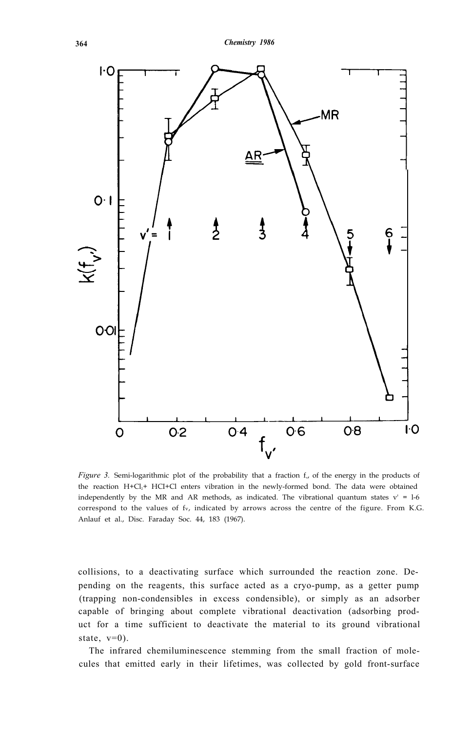

*Figure 3.* Semi-logarithmic plot of the probability that a fraction  $f<sub>v</sub>$  of the energy in the products of the reaction  $H+CI<sub>2</sub>$ + HCI+Cl enters vibration in the newly-formed bond. The data were obtained independently by the MR and AR methods, as indicated. The vibrational quantum states  $v' = 1-6$ correspond to the values of fv, indicated by arrows across the centre of the figure. From K.G. Anlauf et al., Disc. Faraday Soc. 44, 183 (1967).

collisions, to a deactivating surface which surrounded the reaction zone. Depending on the reagents, this surface acted as a cryo-pump, as a getter pump (trapping non-condensibles in excess condensible), or simply as an adsorber capable of bringing about complete vibrational deactivation (adsorbing product for a time sufficient to deactivate the material to its ground vibrational state,  $v=0$ ).

The infrared chemiluminescence stemming from the small fraction of molecules that emitted early in their lifetimes, was collected by gold front-surface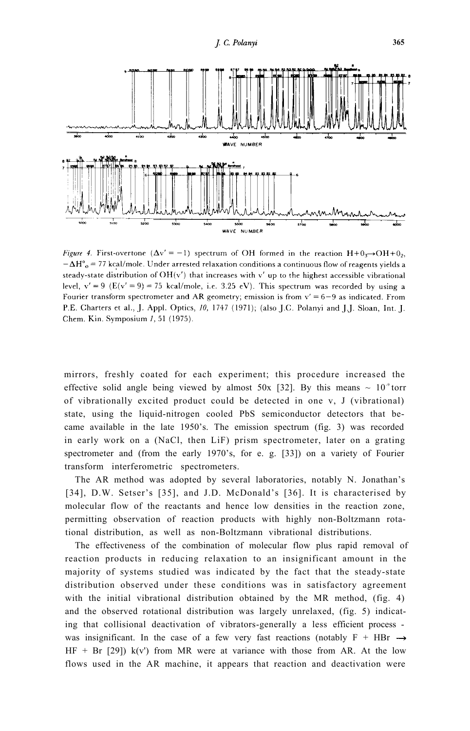

Figure 4. First-overtone ( $\Delta v' = -1$ ) spectrum of OH formed in the reaction  $H+0<sub>3</sub> \rightarrow OH+0<sub>2</sub>$ ,  $-\Delta H^{\circ}{}_{o}$  = 77 kcal/mole. Under arrested relaxation conditions a continuous flow of reagents yields a steady-state distribution of  $OH(v')$  that increases with v' up to the highest accessible vibrational level,  $v' = 9$  (E( $v' = 9$ ) = 75 kcal/mole, i.e. 3.25 eV). This spectrum was recorded by using a Fourier transform spectrometer and AR geometry; emission is from  $v' = 6-9$  as indicated. From P.E. Charters et al., J. Appl. Optics, 10, 1747 (1971); (also J.C. Polanyi and J.J. Sloan, Int. J. Chem. Kin. Symposium 1, 51 (1975).

mirrors, freshly coated for each experiment; this procedure increased the effective solid angle being viewed by almost 50x [32]. By this means  $\sim 10^{-9}$  torr of vibrationally excited product could be detected in one v, J (vibrational) state, using the liquid-nitrogen cooled PbS semiconductor detectors that became available in the late 1950's. The emission spectrum (fig. 3) was recorded in early work on a (NaCl, then LiF) prism spectrometer, later on a grating spectrometer and (from the early 1970's, for e. g. [33]) on a variety of Fourier transform interferometric spectrometers.

The AR method was adopted by several laboratories, notably N. Jonathan's [34], D.W. Setser's [35], and J.D. McDonald's [36]. It is characterised by molecular flow of the reactants and hence low densities in the reaction zone, permitting observation of reaction products with highly non-Boltzmann rotational distribution, as well as non-Boltzmann vibrational distributions.

The effectiveness of the combination of molecular flow plus rapid removal of reaction products in reducing relaxation to an insignificant amount in the majority of systems studied was indicated by the fact that the steady-state distribution observed under these conditions was in satisfactory agreement with the initial vibrational distribution obtained by the MR method, (fig. 4) and the observed rotational distribution was largely unrelaxed, (fig. 5) indicating that collisional deactivation of vibrators-generally a less efficient process was insignificant. In the case of a few very fast reactions (notably F + HBr  $\rightarrow$ HF + Br  $[29]$ ) k(v') from MR were at variance with those from AR. At the low flows used in the AR machine, it appears that reaction and deactivation were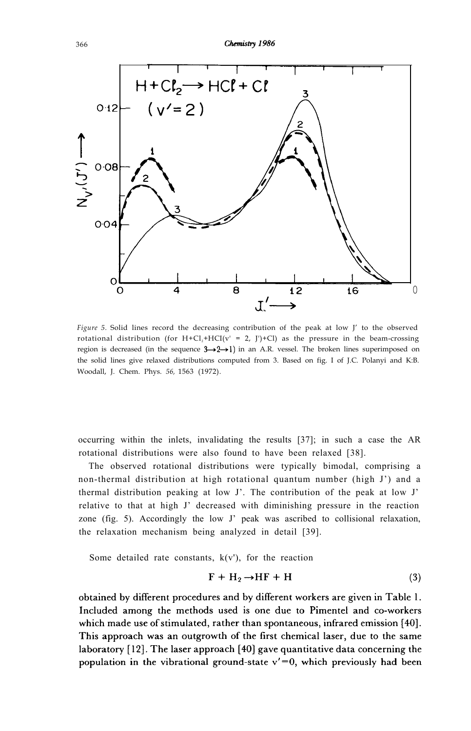

*Figure 5.* Solid lines record the decreasing contribution of the peak at low J' to the observed rotational distribution (for H+Cl<sub>2</sub>+HCI( $v' = 2$ , J')+Cl) as the pressure in the beam-crossing region is decreased (in the sequence  $3\rightarrow 2\rightarrow 1$ ) in an A.R. vessel. The broken lines superimposed on the solid lines give relaxed distributions computed from 3. Based on fig. I of J.C. Polanyi and K:B. Woodall, J. Chem. Phys. *56,* 1563 (1972).

occurring within the inlets, invalidating the results [37]; in such a case the AR rotational distributions were also found to have been relaxed [38].

The observed rotational distributions were typically bimodal, comprising a non-thermal distribution at high rotational quantum number (high J') and a thermal distribution peaking at low J'. The contribution of the peak at low J' relative to that at high J' decreased with diminishing pressure in the reaction zone (fig. 5). Accordingly the low J' peak was ascribed to collisional relaxation, the relaxation mechanism being analyzed in detail [39].

Some detailed rate constants,  $k(v')$ , for the reaction

$$
F + H_2 \rightarrow HF + H \tag{3}
$$

obtained by different procedures and by different workers are given in Table 1. Included among the methods used is one due to Pimentel and co-workers which made use of stimulated, rather than spontaneous, infrared emission [40]. This approach was an outgrowth of the first chemical laser, due to the same laboratory  $[12]$ . The laser approach  $[40]$  gave quantitative data concerning the population in the vibrational ground-state  $v' = 0$ , which previously had been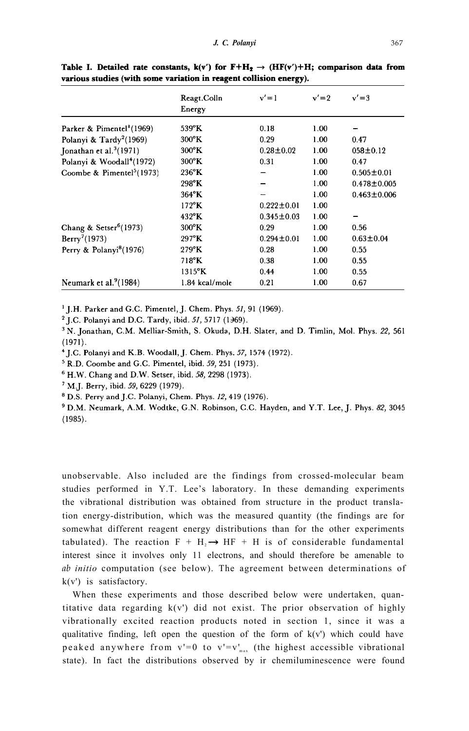|                                       | Reagt.Colln<br>Energy | $v' = 1$         | $v' = 2$ | $v' = 3$          |
|---------------------------------------|-----------------------|------------------|----------|-------------------|
| Parker & Pimentel <sup>1</sup> (1969) | 539°K                 | 0.18             | 1.00     |                   |
| Polanyi & Tardy <sup>2</sup> (1969)   | $300^{\circ}$ K       | 0.29             | 1.00     | 0.47              |
| Jonathan et al. $3(1971)$             | $300^{\circ}$ K       | $0.28 + 0.02$    | 1.00     | $058 \pm 0.12$    |
| Polanyi & Woodall <sup>4</sup> (1972) | $300^{\circ}$ K       | 0.31             | 1.00     | 0.47              |
| Coombe & Pimentel <sup>5</sup> (1973) | $236^{\circ}K$        |                  | 1.00     | $0.505 \pm 0.01$  |
|                                       | $298^\circ K$         |                  | 1.00     | $0.478 \pm 0.005$ |
|                                       | $364^{\circ}K$        |                  | 1.00     | $0.463 \pm 0.006$ |
|                                       | $172$ <sup>o</sup> K  | $0.222 \pm 0.01$ | 1.00     |                   |
|                                       | $432$ °K              | $0.345 \pm 0.03$ | 1.00     |                   |
| Chang & Setser <sup>6</sup> (1973)    | $300^{\circ}$ K       | 0.29             | 1.00     | 0.56              |
| $\text{Berry}^7(1973)$                | $297^\circ K$         | $0.294 \pm 0.01$ | 1.00     | $0.63 \pm 0.04$   |
| Perry & Polanyi <sup>8</sup> (1976)   | $279^\circ$ K         | 0.28             | 1.00     | 0.55              |
|                                       | $718^\circ K$         | 0.38             | 1.00     | 0.55              |
|                                       | $1315$ <sup>o</sup> K | 0.44             | 1.00     | 0.55              |
| Neumark et al. <sup>9</sup> (1984)    | 1.84 kcal/mole        | 0.21             | 1.00     | 0.67              |

Table I. Detailed rate constants,  $k(v')$  for  $F+H_2 \rightarrow (HF(v')+H$ ; comparison data from various studies (with some variation in reagent collision energy).

<sup>1</sup> J.H. Parker and G.C. Pimentel, J. Chem. Phys. 51, 91 (1969).

<sup>2</sup> J.C. Polanyi and D.C. Tardy, ibid. 51, 5717 (1969).

<sup>3</sup> N. Jonathan, C.M. Melliar-Smith, S. Okuda, D.H. Slater, and D. Timlin, Mol. Phys. 22, 561  $(1971).$ 

<sup>4</sup> J.C. Polanyi and K.B. Woodall, J. Chem. Phys. 57, 1574 (1972).

 $5$  R.D. Coombe and G.C. Pimentel, ibid. 59, 251 (1973).

<sup>6</sup> H.W. Chang and D.W. Setser, ibid. 58, 2298 (1973).

<sup>7</sup> M.J. Berry, ibid. 59, 6229 (1979).

<sup>8</sup> D.S. Perry and J.C. Polanyi, Chem. Phys. 12, 419 (1976).

<sup>9</sup> D.M. Neumark, A.M. Wodtke, G.N. Robinson, C.C. Hayden, and Y.T. Lee, J. Phys. 82, 3045  $(1985).$ 

unobservable. Also included are the findings from crossed-molecular beam studies performed in Y.T. Lee's laboratory. In these demanding experiments the vibrational distribution was obtained from structure in the product translation energy-distribution, which was the measured quantity (the findings are for somewhat different reagent energy distributions than for the other experiments tabulated). The reaction  $F + H$ ,  $\rightarrow$  HF + H is of considerable fundamental interest since it involves only 11 electrons, and should therefore be amenable to *ab initio* computation (see below). The agreement between determinations of  $k(v')$  is satisfactory.

When these experiments and those described below were undertaken, quantitative data regarding k(v') did not exist. The prior observation of highly vibrationally excited reaction products noted in section 1, since it was a qualitative finding, left open the question of the form of  $k(v')$  which could have peaked anywhere from  $v' = 0$  to  $v' = v'_{max}$  (the highest accessible vibrational state). In fact the distributions observed by ir chemiluminescence were found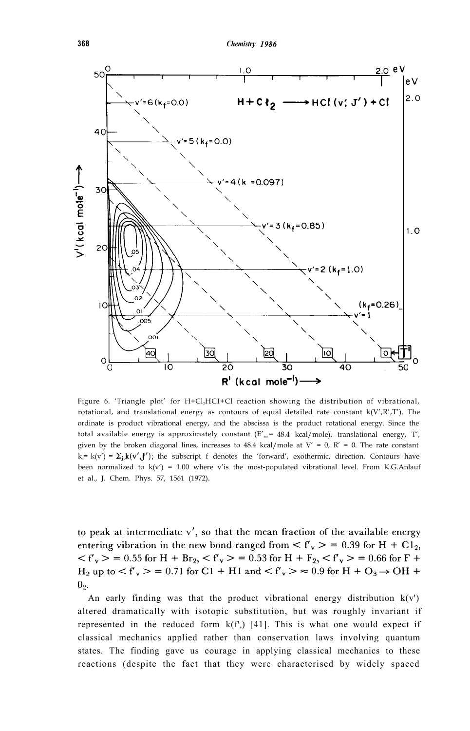

Figure 6. 'Triangle plot' for H+Cl<sub>2</sub>HCI+Cl reaction showing the distribution of vibrational, rotational, and translational energy as contours of equal detailed rate constant  $k(V',R',T')$ . The ordinate is product vibrational energy, and the abscissa is the product rotational energy. Since the total available energy is approximately constant (E'<sub>w</sub> = 48.4 kcal/mole), translational energy, T', given by the broken diagonal lines, increases to 48.4 kcal/mole at  $V' = 0$ ,  $R' = 0$ . The rate constant  $k = k(v') = \sum_{i} k(v', j')$ ; the subscript f denotes the 'forward', exothermic, direction. Contours have been normalized to  $k(y') = 1.00$  where v'is the most-populated vibrational level. From K.G.Anlauf et al., J. Chem. Phys. 57, 1561 (1972).

to peak at intermediate v', so that the mean fraction of the available energy entering vibration in the new bond ranged from  $\langle f' \rangle$  = 0.39 for H + Cl<sub>2</sub>,  $\langle f'_{v} \rangle = 0.55$  for H + Br<sub>2</sub>,  $\langle f'_{v} \rangle = 0.53$  for H + F<sub>2</sub>,  $\langle f'_{v} \rangle = 0.66$  for F +  $H_2$  up to  $\lt f_v$   $>$  = 0.71 for C1 + H1 and  $\lt f_v$   $> \approx 0.9$  for H + O<sub>3</sub>  $\rightarrow$  OH +  $0<sub>2</sub>$ 

An early finding was that the product vibrational energy distribution  $k(v')$ altered dramatically with isotopic substitution, but was roughly invariant if represented in the reduced form  $k(f)$  [41]. This is what one would expect if classical mechanics applied rather than conservation laws involving quantum states. The finding gave us courage in applying classical mechanics to these reactions (despite the fact that they were characterised by widely spaced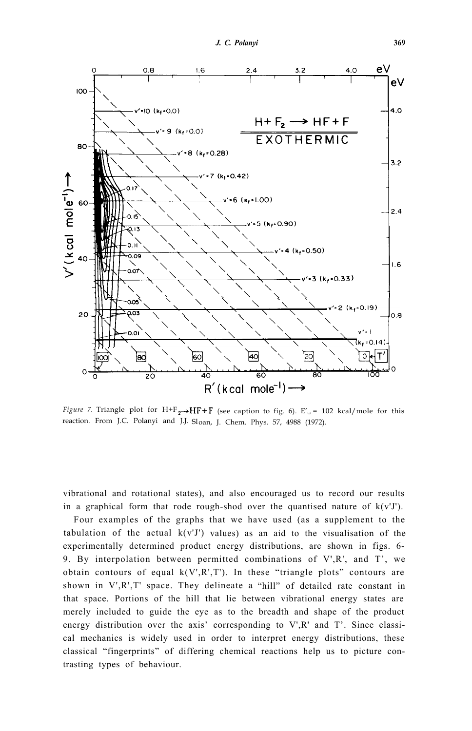

*Figure 7.* Triangle plot for  $H+F_2 \rightarrow HF+F$  (see caption to fig. 6). E'<sub>ts</sub> = 102 kcal/mole for this reaction. From J.C. Polanyi and J.J. Sloan, J. Chem. Phys. 57, 4988 (1972).

vibrational and rotational states), and also encouraged us to record our results in a graphical form that rode rough-shod over the quantised nature of  $k(v'J')$ .

Four examples of the graphs that we have used (as a supplement to the tabulation of the actual  $k(v'J')$  values) as an aid to the visualisation of the experimentally determined product energy distributions, are shown in figs. 6- 9. By interpolation between permitted combinations of V',R', and T', we obtain contours of equal  $k(V',R',T')$ . In these "triangle plots" contours are shown in V',R',T' space. They delineate a "hill" of detailed rate constant in that space. Portions of the hill that lie between vibrational energy states are merely included to guide the eye as to the breadth and shape of the product energy distribution over the axis' corresponding to V',R' and T'. Since classical mechanics is widely used in order to interpret energy distributions, these classical "fingerprints" of differing chemical reactions help us to picture contrasting types of behaviour.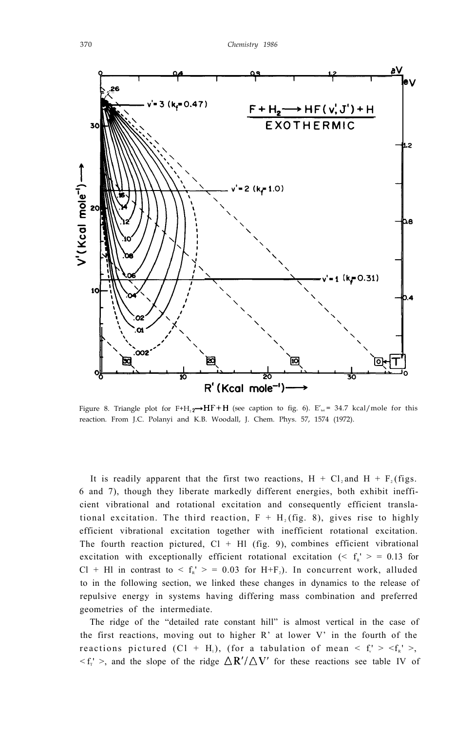

Figure 8. Triangle plot for F+H<sub>2</sub> $\rightarrow$ HF+H (see caption to fig. 6). E'<sub>tot</sub> = 34.7 kcal/mole for this reaction. From J.C. Polanyi and K.B. Woodall, J. Chem. Phys. 57, 1574 (1972).

It is readily apparent that the first two reactions,  $H + Cl$ , and  $H + F$ , (figs. 6 and 7), though they liberate markedly different energies, both exhibit inefficient vibrational and rotational excitation and consequently efficient translational excitation. The third reaction,  $F + H$ , (fig. 8), gives rise to highly efficient vibrational excitation together with inefficient rotational excitation. The fourth reaction pictured,  $Cl + H1$  (fig. 9), combines efficient vibrational excitation with exceptionally efficient rotational excitation ( $\langle f_{R} | \rangle = 0.13$  for Cl + Hl in contrast to <  $f_1$ ' > = 0.03 for H+F<sub>3</sub>). In concurrent work, alluded to in the following section, we linked these changes in dynamics to the release of repulsive energy in systems having differing mass combination and preferred geometries of the intermediate.

The ridge of the "detailed rate constant hill" is almost vertical in the case of the first reactions, moving out to higher R' at lower V' in the fourth of the reactions pictured (Cl + H<sub>1</sub>), (for a tabulation of mean <  $f'_{v}$  > <f<sub>R</sub>' >,  $\leq f_{\tau}$  >, and the slope of the ridge  $\Delta R'/\Delta V'$  for these reactions see table IV of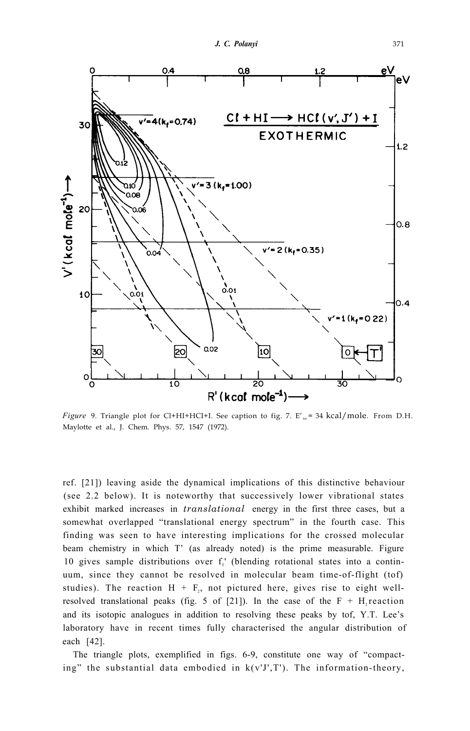

*Figure* 9. Triangle plot for Cl+HI+HCI+I. See caption to fig. 7.  $E'_{\text{tot}} = 34 \text{ kcal/mole}$ . From D.H. Maylotte et al., J. Chem. Phys. 57, 1547 (1972).

ref. [21]) leaving aside the dynamical implications of this distinctive behaviour (see 2.2 below). It is noteworthy that successively lower vibrational states exhibit marked increases in *translational* energy in the first three cases, but a somewhat overlapped "translational energy spectrum" in the fourth case. This finding was seen to have interesting implications for the crossed molecular beam chemistry in which T' (as already noted) is the prime measurable. Figure 10 gives sample distributions over  $f_1$ ' (blending rotational states into a continuum, since they cannot be resolved in molecular beam time-of-flight (tof) studies). The reaction  $H + F_2$ , not pictured here, gives rise to eight wellresolved translational peaks (fig. 5 of [21]). In the case of the  $F + H<sub>2</sub>$  reaction and its isotopic analogues in addition to resolving these peaks by tof, Y.T. Lee's laboratory have in recent times fully characterised the angular distribution of each [42].

The triangle plots, exemplified in figs. 6-9, constitute one way of "compacting" the substantial data embodied in  $k(v'J',T')$ . The information-theory,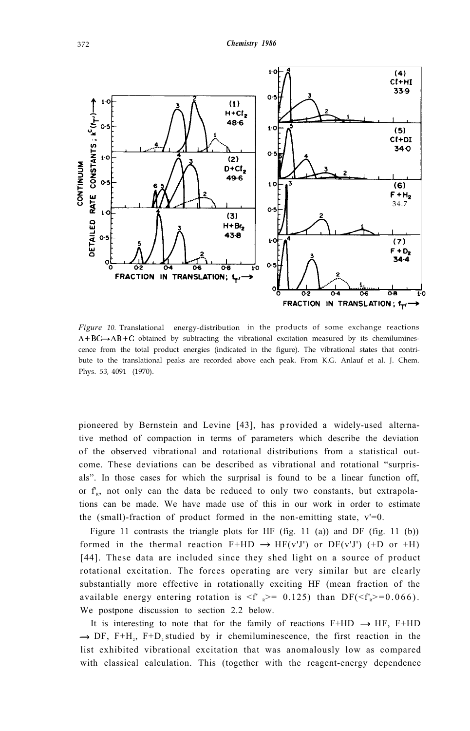

*Figure 10.* Translational energy-distribution in the products of some exchange reactions  $A + BC \rightarrow AB + C$  obtained by subtracting the vibrational excitation measured by its chemiluminescence from the total product energies (indicated in the figure). The vibrational states that contribute to the translational peaks are recorded above each peak. From K.G. Anlauf et al. J. Chem. Phys. *53,* 4091 (1970).

pioneered by Bernstein and Levine [43], has provided a widely-used alternative method of compaction in terms of parameters which describe the deviation of the observed vibrational and rotational distributions from a statistical outcome. These deviations can be described as vibrational and rotational "surprisals". In those cases for which the surprisal is found to be a linear function off, or  $f<sub>s</sub>$ , not only can the data be reduced to only two constants, but extrapolations can be made. We have made use of this in our work in order to estimate the (small)-fraction of product formed in the non-emitting state,  $v'=0$ .

Figure 11 contrasts the triangle plots for HF (fig. 11 (a)) and DF (fig. 11 (b)) formed in the thermal reaction F+HD  $\rightarrow$  HF(v'J') or DF(v'J') (+D or +H) [44]. These data are included since they shed light on a source of product rotational excitation. The forces operating are very similar but are clearly substantially more effective in rotationally exciting HF (mean fraction of the available energy entering rotation is  $\langle f \rangle = 0.125$  than DF( $\langle f \rangle > 0.066$ ). We postpone discussion to section 2.2 below.

It is interesting to note that for the family of reactions F+HD  $\rightarrow$  HF, F+HD  $\rightarrow$  DF, F+H<sub>2</sub>, F+D<sub>2</sub> studied by ir chemiluminescence, the first reaction in the list exhibited vibrational excitation that was anomalously low as compared with classical calculation. This (together with the reagent-energy dependence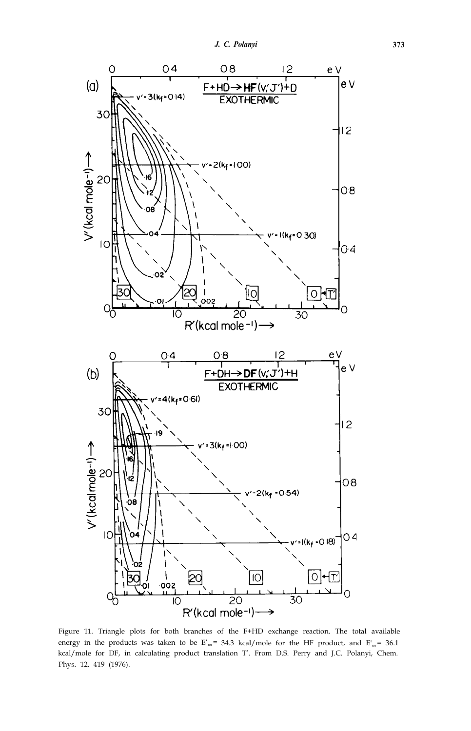

Figure 11. Triangle plots for both branches of the F+HD exchange reaction. The total available energy in the products was taken to be  $E'_{tot}$  = 34.3 kcal/mole for the HF product, and  $E'_{tot}$  = 36.1 kcal/mole for DF, in calculating product translation T'. From D.S. Perry and J.C. Polanyi, Chem. Phys. 12. 419 (1976).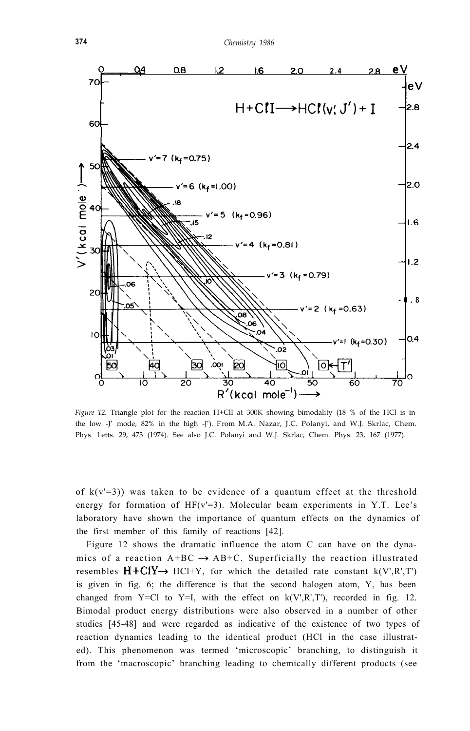

*Figure 12.* Triangle plot for the reaction H+ClI at 300K showing bimodality (18 % of the HCl is in the low -J' mode, 82% in the high -J'). From M.A. Nazar, J.C. Polanyi, and W.J. Skrlac, Chem. Phys. Letts. 29, 473 (1974). See also J.C. Polanyi and W.J. Skrlac, Chem. Phys. 23, 167 (1977).

of  $k(v'=3)$ ) was taken to be evidence of a quantum effect at the threshold energy for formation of  $HF(v'=3)$ . Molecular beam experiments in Y.T. Lee's laboratory have shown the importance of quantum effects on the dynamics of the first member of this family of reactions [42].

Figure 12 shows the dramatic influence the atom C can have on the dynamics of a reaction  $A+BC \rightarrow AB+C$ . Superficially the reaction illustrated resembles  $H+CIY \rightarrow HCl+Y$ , for which the detailed rate constant  $k(V',R',T')$ is given in fig. 6; the difference is that the second halogen atom, Y, has been changed from Y=Cl to Y=I, with the effect on  $k(V', R', T')$ , recorded in fig. 12. Bimodal product energy distributions were also observed in a number of other studies [45-48] and were regarded as indicative of the existence of two types of reaction dynamics leading to the identical product (HCl in the case illustrated). This phenomenon was termed 'microscopic' branching, to distinguish it from the 'macroscopic' branching leading to chemically different products (see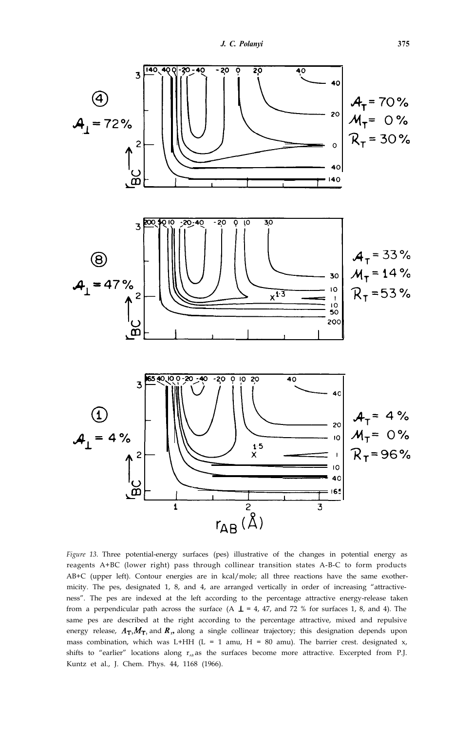

*Figure 13.* Three potential-energy surfaces (pes) illustrative of the changes in potential energy as reagents A+BC (lower right) pass through collinear transition states A-B-C to form products AB+C (upper left). Contour energies are in kcal/mole; all three reactions have the same exothermicity. The pes, designated 1, 8, and 4, are arranged vertically in order of increasing "attractiveness". The pes are indexed at the left according to the percentage attractive energy-release taken from a perpendicular path across the surface (A  $\perp$  = 4, 47, and 72 % for surfaces 1, 8, and 4). The same pes are described at the right according to the percentage attractive, mixed and repulsive energy release,  $A_T$ ,  $M_T$ , and  $R_T$ , along a single collinear trajectory; this designation depends upon mass combination, which was L+HH (L = 1 amu, H = 80 amu). The barrier crest. designated  $x$ , shifts to "earlier" locations along  $r_{AB}$  as the surfaces become more attractive. Excerpted from P.J. Kuntz et al., J. Chem. Phys. 44, 1168 (1966).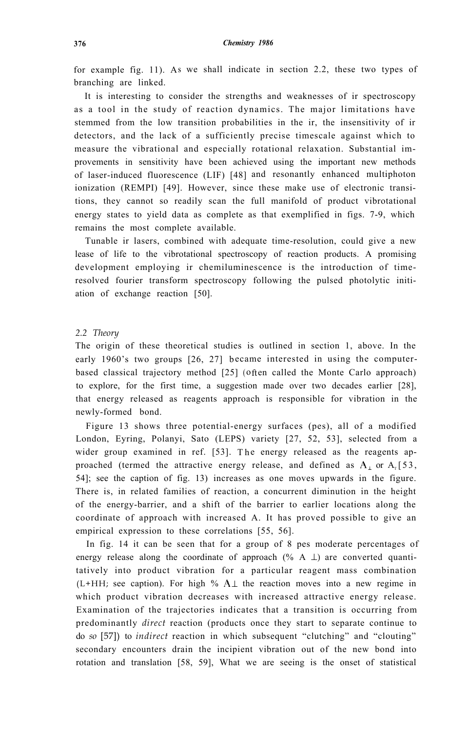for example fig. 11). As we shall indicate in section 2.2, these two types of branching are linked.

It is interesting to consider the strengths and weaknesses of ir spectroscopy as a tool in the study of reaction dynamics. The major limitations have stemmed from the low transition probabilities in the ir, the insensitivity of ir detectors, and the lack of a sufficiently precise timescale against which to measure the vibrational and especially rotational relaxation. Substantial improvements in sensitivity have been achieved using the important new methods of laser-induced fluorescence (LIF) [48] and resonantly enhanced multiphoton ionization (REMPI) [49]. However, since these make use of electronic transitions, they cannot so readily scan the full manifold of product vibrotational energy states to yield data as complete as that exemplified in figs. 7-9, which remains the most complete available.

Tunable ir lasers, combined with adequate time-resolution, could give a new lease of life to the vibrotational spectroscopy of reaction products. A promising development employing ir chemiluminescence is the introduction of timeresolved fourier transform spectroscopy following the pulsed photolytic initiation of exchange reaction [50].

### *2.2 Theory*

The origin of these theoretical studies is outlined in section 1, above. In the early 1960's two groups [26, 27] became interested in using the computerbased classical trajectory method [25] (often called the Monte Carlo approach) to explore, for the first time, a suggestion made over two decades earlier [28], that energy released as reagents approach is responsible for vibration in the newly-formed bond.

Figure 13 shows three potential-energy surfaces (pes), all of a modified London, Eyring, Polanyi, Sato (LEPS) variety [27, 52, 53], selected from a wider group examined in ref. [53]. T he energy released as the reagents approached (termed the attractive energy release, and defined as  $A_{\perp}$  or  $A_{\rm r}$  [53, 54]; see the caption of fig. 13) increases as one moves upwards in the figure. There is, in related families of reaction, a concurrent diminution in the height of the energy-barrier, and a shift of the barrier to earlier locations along the coordinate of approach with increased A. It has proved possible to give an empirical expression to these correlations [55, 56].

In fig. 14 it can be seen that for a group of 8 pes moderate percentages of energy release along the coordinate of approach (% A ⊥) are converted quantitatively into product vibration for a particular reagent mass combination (L+HH; see caption). For high %  $A\perp$  the reaction moves into a new regime in which product vibration decreases with increased attractive energy release. Examination of the trajectories indicates that a transition is occurring from predominantly *direct* reaction (products once they start to separate continue to do *so* [57]) to *indirect* reaction in which subsequent "clutching" and "clouting" secondary encounters drain the incipient vibration out of the new bond into rotation and translation [58, 59], What we are seeing is the onset of statistical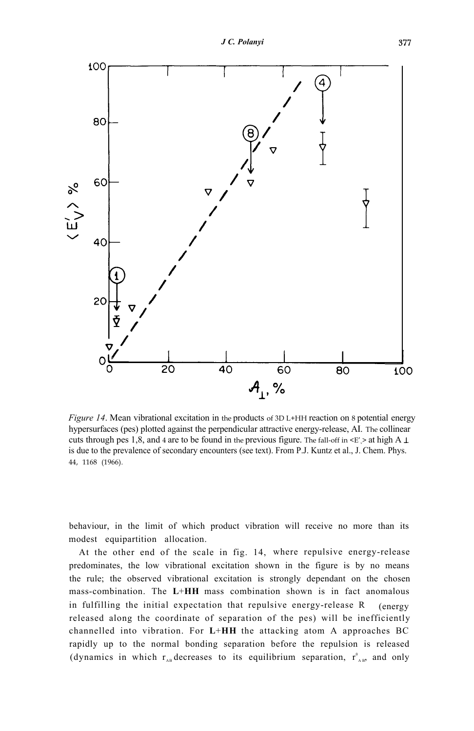

*Figure 14*. Mean vibrational excitation in the products of 3D L+HH reaction on 8 potential energy hypersurfaces (pes) plotted against the perpendicular attractive energy-release, AΙ. The collinear cuts through pes 1,8, and 4 are to be found in the previous figure. The fall-off in  $\lt E$ ', at high A  $\perp$ is due to the prevalence of secondary encounters (see text). From P.J. Kuntz et al., J. Chem. Phys. 44, 1168 (1966).

behaviour, in the limit of which product vibration will receive no more than its modest equipartition allocation.

At the other end of the scale in fig. 14, where repulsive energy-release predominates, the low vibrational excitation shown in the figure is by no means the rule; the observed vibrational excitation is strongly dependant on the chosen mass-combination. The **L**+**HH** mass combination shown is in fact anomalous in fulfilling the initial expectation that repulsive energy-release R (energy released along the coordinate of separation of the pes) will be inefficiently channelled into vibration. For **L**+**HH** the attacking atom A approaches BC rapidly up to the normal bonding separation before the repulsion is released (dynamics in which  $r_{AB}$  decreases to its equilibrium separation,  $r_{AB}^{\circ}$ , and only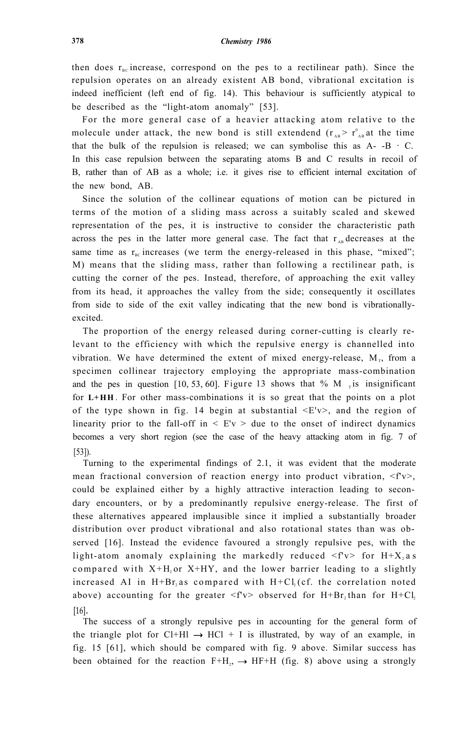then does  $r_{BC}$  increase, correspond on the pes to a rectilinear path). Since the repulsion operates on an already existent AB bond, vibrational excitation is indeed inefficient (left end of fig. 14). This behaviour is sufficiently atypical to be described as the "light-atom anomaly" [53].

For the more general case of a heavier attacking atom relative to the molecule under attack, the new bond is still extendend  $(r_{AB} > r_{AB}^{\circ}$  at the time that the bulk of the repulsion is released; we can symbolise this as  $A - B \cdot C$ . In this case repulsion between the separating atoms B and C results in recoil of B, rather than of AB as a whole; i.e. it gives rise to efficient internal excitation of the new bond, AB.

Since the solution of the collinear equations of motion can be pictured in terms of the motion of a sliding mass across a suitably scaled and skewed representation of the pes, it is instructive to consider the characteristic path across the pes in the latter more general case. The fact that  $r_{AB}$  decreases at the same time as  $r_{BC}$  increases (we term the energy-released in this phase, "mixed"; M) means that the sliding mass, rather than following a rectilinear path, is cutting the corner of the pes. Instead, therefore, of approaching the exit valley from its head, it approaches the valley from the side; consequently it oscillates from side to side of the exit valley indicating that the new bond is vibrationallyexcited.

The proportion of the energy released during corner-cutting is clearly relevant to the efficiency with which the repulsive energy is channelled into vibration. We have determined the extent of mixed energy-release,  $M<sub>T</sub>$ , from a specimen collinear trajectory employing the appropriate mass-combination and the pes in question [10, 53, 60]. Figure 13 shows that % M  $_{\text{r}}$  is insignificant for **L**+**HH** . For other mass-combinations it is so great that the points on a plot of the type shown in fig. 14 begin at substantial  $\langle E'v \rangle$ , and the region of linearity prior to the fall-off in  $\leq$  E'v  $\geq$  due to the onset of indirect dynamics becomes a very short region (see the case of the heavy attacking atom in fig. 7 of [53]).

Turning to the experimental findings of 2.1, it was evident that the moderate mean fractional conversion of reaction energy into product vibration,  $\langle f \rangle$ , could be explained either by a highly attractive interaction leading to secondary encounters, or by a predominantly repulsive energy-release. The first of these alternatives appeared implausible since it implied a substantially broader distribution over product vibrational and also rotational states than was observed [16]. Instead the evidence favoured a strongly repulsive pes, with the light-atom anomaly explaining the markedly reduced  $\langle f'v \rangle$  for  $H+X_2$  as compared with  $X+H_2$  or  $X+HY$ , and the lower barrier leading to a slightly increased AI in  $H+Br$ , as compared with  $H+C<sub>1</sub>$  (cf. the correlation noted above) accounting for the greater  $\langle f \rangle$  observed for H+Br<sub>2</sub> than for H+Cl<sub>2</sub> [16].

The success of a strongly repulsive pes in accounting for the general form of the triangle plot for Cl+Hl  $\rightarrow$  HCl + I is illustrated, by way of an example, in fig. 15 [61], which should be compared with fig. 9 above. Similar success has been obtained for the reaction  $F+H_2$ ,  $\rightarrow$  HF+H (fig. 8) above using a strongly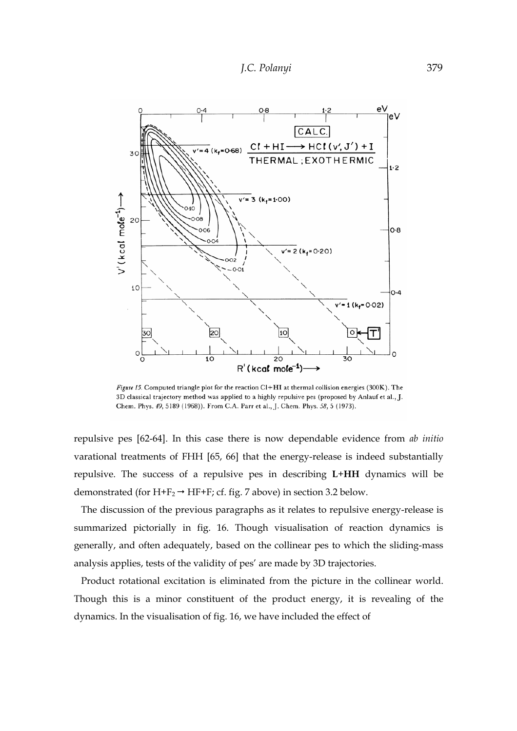

Figure 15. Computed triangle plot for the reaction Cl+HI at thermal collision energies (300K). The 3D classical trajectory method was applied to a highly repulsive pes (proposed by Anlauf et al., J. Chem. Phys. 49, 5189 (1968)). From C.A. Parr et al., J. Chem. Phys. 58, 5 (1973).

repulsive pes [62-64]. In this case there is now dependable evidence from *ab initio*  varational treatments of FHH [65, 66] that the energy-release is indeed substantially repulsive. The success of a repulsive pes in describing **L**+**HH** dynamics will be demonstrated (for  $H+F_2 \rightarrow HF+F$ ; cf. fig. 7 above) in section 3.2 below.

 The discussion of the previous paragraphs as it relates to repulsive energy-release is summarized pictorially in fig. 16. Though visualisation of reaction dynamics is generally, and often adequately, based on the collinear pes to which the sliding-mass analysis applies, tests of the validity of pes' are made by 3D trajectories.

 Product rotational excitation is eliminated from the picture in the collinear world. Though this is a minor constituent of the product energy, it is revealing of the dynamics. In the visualisation of fig. 16, we have included the effect of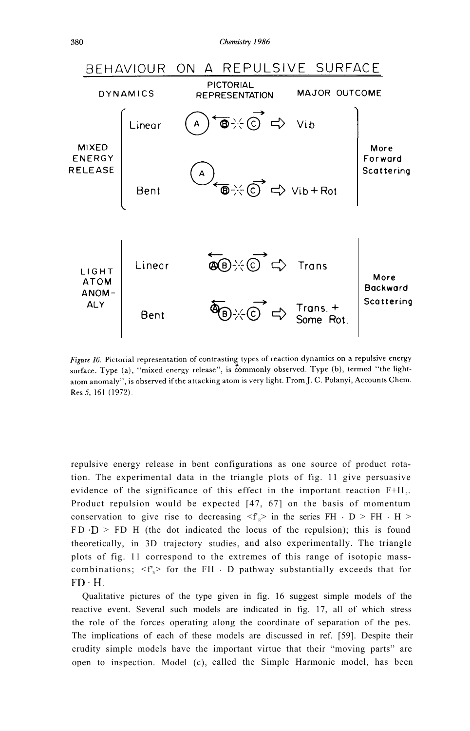Chemistry 1986



Figure 16. Pictorial representation of contrasting types of reaction dynamics on a repulsive energy surface. Type (a), "mixed energy release", is commonly observed. Type (b), termed "the lightatom anomaly", is observed if the attacking atom is very light. From J. C. Polanyi, Accounts Chem. Res 5, 161 (1972).

repulsive energy release in bent configurations as one source of product rotation. The experimental data in the triangle plots of fig. 11 give persuasive evidence of the significance of this effect in the important reaction  $F+H<sub>2</sub>$ . Product repulsion would be expected [47, 67] on the basis of momentum conservation to give rise to decreasing  $\langle f_R \rangle$  in the series FH  $\cdot$  D  $>$  FH  $\cdot$  H  $>$  $FD \cdot D > FD$  H (the dot indicated the locus of the repulsion); this is found theoretically, in 3D trajectory studies, and also experimentally. The triangle plots of fig. 11 correspond to the extremes of this range of isotopic masscombinations;  $\langle f^* \rangle$  for the FH  $\cdot$  D pathway substantially exceeds that for  $FD \cdot H$ .

Qualitative pictures of the type given in fig. 16 suggest simple models of the reactive event. Several such models are indicated in fig. 17, all of which stress the role of the forces operating along the coordinate of separation of the pes. The implications of each of these models are discussed in ref. [59]. Despite their crudity simple models have the important virtue that their "moving parts" are open to inspection. Model (c), called the Simple Harmonic model, has been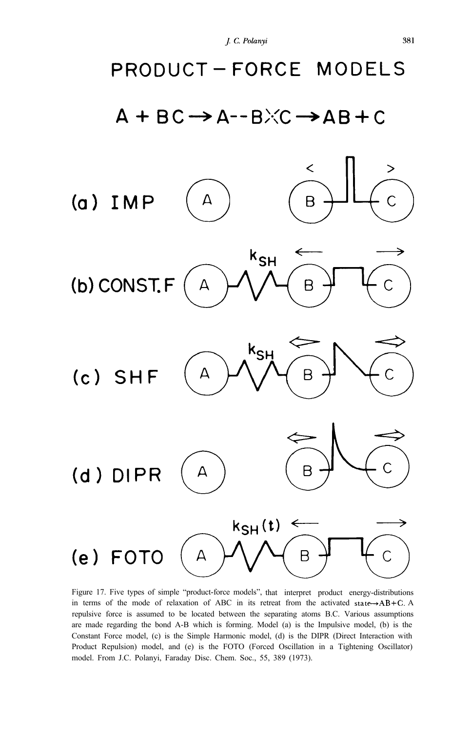

Figure 17. Five types of simple "product-force models", that interpret product energy-distributions in terms of the mode of relaxation of ABC in its retreat from the activated state $\rightarrow$ AB+C. A repulsive force is assumed to be located between the separating atoms B.C. Various assumptions are made regarding the bond A-B which is forming. Model (a) is the Impulsive model, (b) is the Constant Force model, (c) is the Simple Harmonic model, (d) is the DIPR (Direct Interaction with Product Repulsion) model, and (e) is the FOTO (Forced Oscillation in a Tightening Oscillator) model. From J.C. Polanyi, Faraday Disc. Chem. Soc., 55, 389 (1973).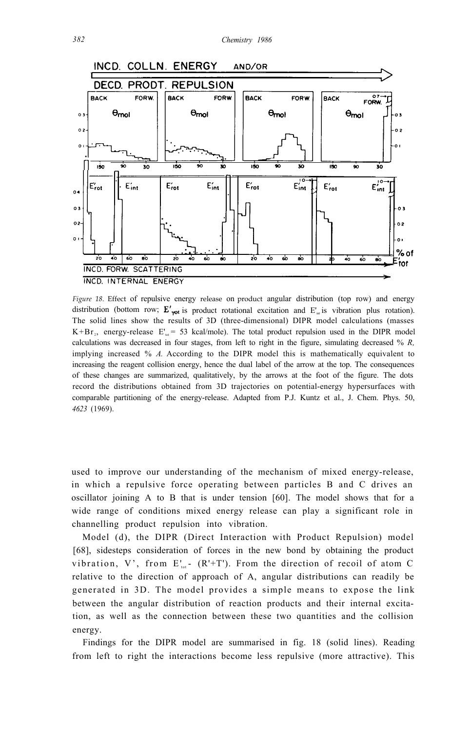

*Figure 18.* Effect of repulsive energy release on product angular distribution (top row) and energy distribution (bottom row;  $E'_{\text{pot}}$  is product rotational excitation and  $E'_{\text{int}}$  is vibration plus rotation). The solid lines show the results of 3D (three-dimensional) DIPR model calculations (masses  $K+Br$ , energy-release  $E' = 53$  kcal/mole). The total product repulsion used in the DIPR model calculations was decreased in four stages, from left to right in the figure, simulating decreased % *R,* implying increased % *A.* According to the DIPR model this is mathematically equivalent to increasing the reagent collision energy, hence the dual label of the arrow at the top. The consequences of these changes are summarized, qualitatively, by the arrows at the foot of the figure. The dots record the distributions obtained from 3D trajectories on potential-energy hypersurfaces with comparable partitioning of the energy-release. Adapted from P.J. Kuntz et al., J. Chem. Phys. 50, *4623* (1969).

used to improve our understanding of the mechanism of mixed energy-release, in which a repulsive force operating between particles B and C drives an oscillator joining A to B that is under tension [60]. The model shows that for a wide range of conditions mixed energy release can play a significant role in channelling product repulsion into vibration.

Model (d), the DIPR (Direct Interaction with Product Repulsion) model [68], sidesteps consideration of forces in the new bond by obtaining the product vibration, V', from  $E'_{tot}$ - (R'+T'). From the direction of recoil of atom C relative to the direction of approach of A, angular distributions can readily be generated in 3D. The model provides a simple means to expose the link between the angular distribution of reaction products and their internal excitation, as well as the connection between these two quantities and the collision energy.

Findings for the DIPR model are summarised in fig. 18 (solid lines). Reading from left to right the interactions become less repulsive (more attractive). This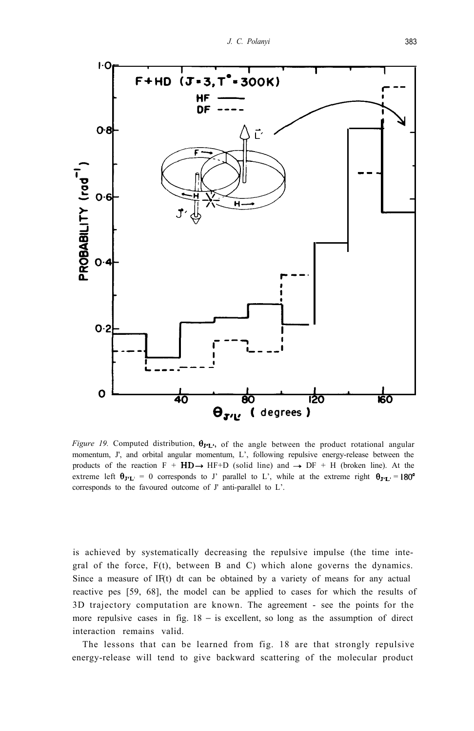

*Figure 19.* Computed distribution,  $\theta_{J'L'}$ , of the angle between the product rotational angular momentum, J', and orbital angular momentum, L', following repulsive energy-release between the products of the reaction  $F + HD \rightarrow HF + D$  (solid line) and  $\rightarrow DF + H$  (broken line). At the extreme left  $\theta_{J'L} = 0$  corresponds to J' parallel to L', while at the extreme right  $\theta_{J'L} = 180^\circ$ corresponds to the favoured outcome of J' anti-parallel to L'.

is achieved by systematically decreasing the repulsive impulse (the time integral of the force, F(t), between B and C) which alone governs the dynamics. Since a measure of  $IF(t)$  dt can be obtained by a variety of means for any actual reactive pes [59, 68], the model can be applied to cases for which the results of 3D trajectory computation are known. The agreement - see the points for the more repulsive cases in fig. 18 − is excellent, so long as the assumption of direct interaction remains valid.

The lessons that can be learned from fig. 18 are that strongly repulsive energy-release will tend to give backward scattering of the molecular product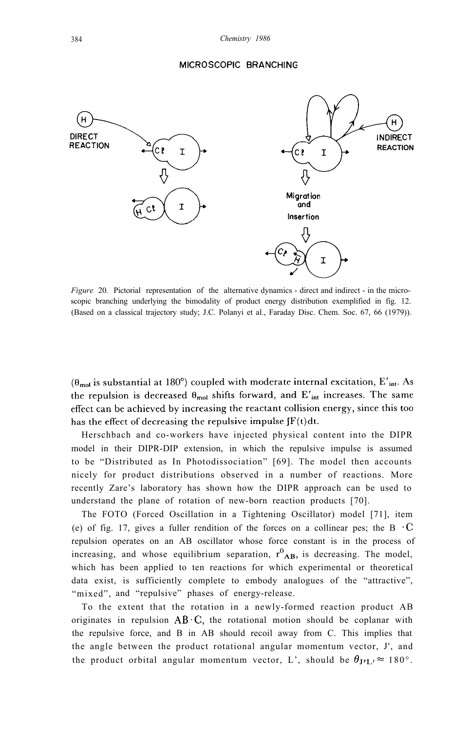## MICROSCOPIC BRANCHING



*Figure* 20. Pictorial representation of the alternative dynamics - direct and indirect - in the microscopic branching underlying the bimodality of product energy distribution exemplified in fig. 12. (Based on a classical trajectory study; J.C. Polanyi et al., Faraday Disc. Chem. Soc. 67, 66 (1979)).

 $(\theta_{\text{mol}})$  is substantial at 180°) coupled with moderate internal excitation, E'<sub>int</sub>. As the repulsion is decreased  $\theta_{mol}$  shifts forward, and E'<sub>int</sub> increases. The same effect can be achieved by increasing the reactant collision energy, since this too has the effect of decreasing the repulsive impulse  $\int F(t) dt$ .

Herschbach and co-workers have injected physical content into the DIPR model in their DIPR-DIP extension, in which the repulsive impulse is assumed to be "Distributed as In Photodissociation" [69]. The model then accounts nicely for product distributions observed in a number of reactions. More recently Zare's laboratory has shown how the DIPR approach can be used to understand the plane of rotation of new-born reaction products [70].

The FOTO (Forced Oscillation in a Tightening Oscillator) model [71], item (e) of fig. 17, gives a fuller rendition of the forces on a collinear pes; the B  $\cdot$ C repulsion operates on an AB oscillator whose force constant is in the process of increasing, and whose equilibrium separation,  $r^{0}$ <sub>AB</sub>, is decreasing. The model, which has been applied to ten reactions for which experimental or theoretical data exist, is sufficiently complete to embody analogues of the "attractive", "mixed", and "repulsive" phases of energy-release.

To the extent that the rotation in a newly-formed reaction product AB originates in repulsion  $AB \cdot C$ , the rotational motion should be coplanar with the repulsive force, and B in AB should recoil away from C. This implies that the angle between the product rotational angular momentum vector, J', and the product orbital angular momentum vector, L', should be  $\theta_{J/L'} \approx 180^\circ$ .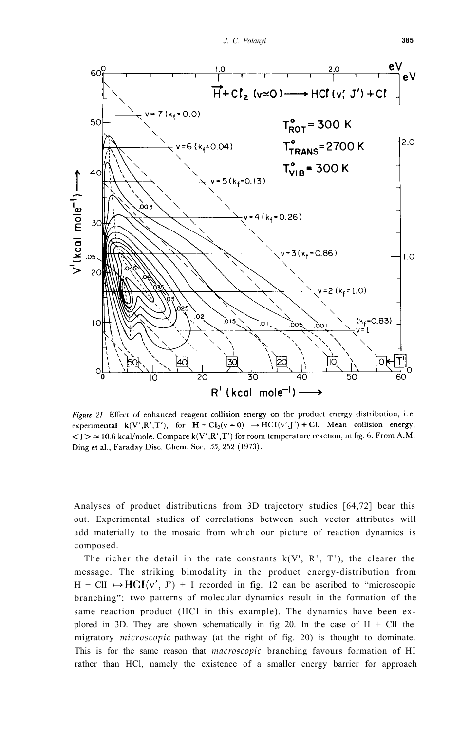

Figure 21. Effect of enhanced reagent collision energy on the product energy distribution, i.e. experimental k(V',R',T'), for  $H + Cl_2(v = 0) \rightarrow HCl(v'J') + Cl$ . Mean collision energy,  $\langle T \rangle \approx 10.6$  kcal/mole. Compare k(V',R',T') for room temperature reaction, in fig. 6. From A.M. Ding et al., Faraday Disc. Chem. Soc., 55, 252 (1973).

Analyses of product distributions from 3D trajectory studies [64,72] bear this out. Experimental studies of correlations between such vector attributes will add materially to the mosaic from which our picture of reaction dynamics is composed.

The richer the detail in the rate constants  $k(V', R', T')$ , the clearer the message. The striking bimodality in the product energy-distribution from  $H + CII \rightarrow HCI(v', J') + I$  recorded in fig. 12 can be ascribed to "microscopic branching"; two patterns of molecular dynamics result in the formation of the same reaction product (HCI in this example). The dynamics have been explored in 3D. They are shown schematically in fig 20. In the case of  $H + \text{CII}$  the migratory *microscopic* pathway (at the right of fig. 20) is thought to dominate. This is for the same reason that *macroscopic* branching favours formation of HI rather than HCl, namely the existence of a smaller energy barrier for approach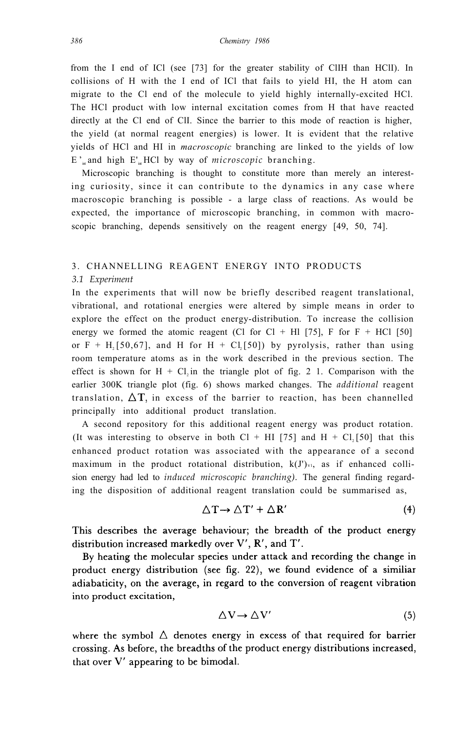from the I end of ICl (see [73] for the greater stability of ClIH than HClI). In collisions of H with the I end of ICl that fails to yield HI, the H atom can migrate to the Cl end of the molecule to yield highly internally-excited HCl. The HCl product with low internal excitation comes from H that have reacted directly at the Cl end of CII. Since the barrier to this mode of reaction is higher, the yield (at normal reagent energies) is lower. It is evident that the relative yields of HCl and HI in *macroscopic* branching are linked to the yields of low E' and high E' HCl by way of *microscopic* branching.

Microscopic branching is thought to constitute more than merely an interesting curiosity, since it can contribute to the dynamics in any case where macroscopic branching is possible - a large class of reactions. As would be expected, the importance of microscopic branching, in common with macroscopic branching, depends sensitively on the reagent energy [49, 50, 74].

### 3. CHANNELLING REAGENT ENERGY INTO PRODUCTS

#### *3.1 Experiment*

In the experiments that will now be briefly described reagent translational, vibrational, and rotational energies were altered by simple means in order to explore the effect on the product energy-distribution. To increase the collision energy we formed the atomic reagent (Cl for Cl + Hl [75], F for F + HCl [50] or F + H<sub>2</sub> [50,67], and H for H + Cl<sub>2</sub> [50]) by pyrolysis, rather than using room temperature atoms as in the work described in the previous section. The effect is shown for  $H + Cl$ , in the triangle plot of fig. 2 1. Comparison with the earlier 300K triangle plot (fig. 6) shows marked changes. The *additional* reagent translation,  $\Delta T$ , in excess of the barrier to reaction, has been channelled principally into additional product translation.

A second repository for this additional reagent energy was product rotation. (It was interesting to observe in both Cl + HI [75] and H + Cl, [50] that this enhanced product rotation was associated with the appearance of a second maximum in the product rotational distribution,  $k(J')_{v1}$ , as if enhanced collision energy had led to *induced microscopic branching).* The general finding regarding the disposition of additional reagent translation could be summarised as,

$$
\Delta T \to \Delta T' + \Delta R'
$$
 (4)

This describes the average behaviour; the breadth of the product energy distribution increased markedly over V', R', and T'.

By heating the molecular species under attack and recording the change in product energy distribution (see fig. 22), we found evidence of a similiar adiabaticity, on the average, in regard to the conversion of reagent vibration into product excitation,

$$
\Delta V \to \Delta V' \tag{5}
$$

where the symbol  $\triangle$  denotes energy in excess of that required for barrier crossing. As before, the breadths of the product energy distributions increased, that over V' appearing to be bimodal.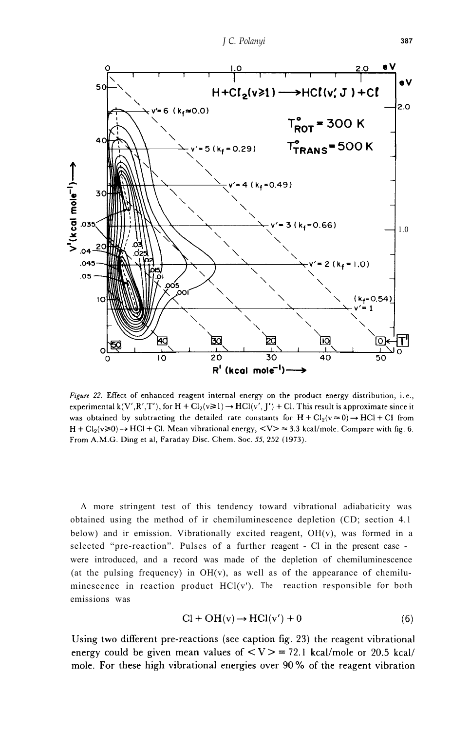

Figure 22. Effect of enhanced reagent internal energy on the product energy distribution, i.e., experimental k(V',R',T'), for H + Cl<sub>2</sub>(v $\geq$ 1)  $\rightarrow$  HCl(v', J') + Cl. This result is approximate since it was obtained by subtracting the detailed rate constants for  $H + Cl_2(v \approx 0) \rightarrow HCl + Cl$  from  $H + Cl<sub>2</sub>(v \ge 0) \rightarrow HCl + Cl$ . Mean vibrational energy,  $\langle V \rangle \approx 3.3$  kcal/mole. Compare with fig. 6. From A.M.G. Ding et al, Faraday Disc. Chem. Soc. 55, 252 (1973).

A more stringent test of this tendency toward vibrational adiabaticity was obtained using the method of ir chemiluminescence depletion (CD; section 4.1 below) and ir emission. Vibrationally excited reagent,  $OH(v)$ , was formed in a selected "pre-reaction". Pulses of a further reagent - Cl in the present case were introduced, and a record was made of the depletion of chemiluminescence (at the pulsing frequency) in  $OH(v)$ , as well as of the appearance of chemiluminescence in reaction product HCl(v'). The reaction responsible for both emissions was

$$
Cl + OH(v) \rightarrow HCl(v') + 0
$$
 (6)

Using two different pre-reactions (see caption fig. 23) the reagent vibrational energy could be given mean values of  $\langle V \rangle = 72.1$  kcal/mole or 20.5 kcal/ mole. For these high vibrational energies over 90% of the reagent vibration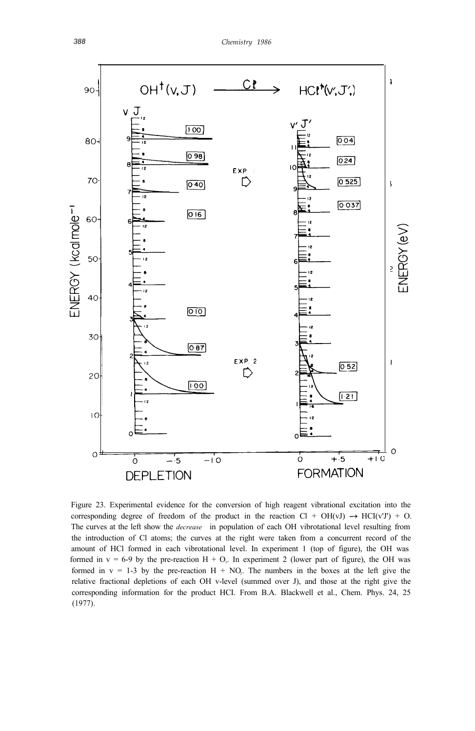

Figure 23. Experimental evidence for the conversion of high reagent vibrational excitation into the corresponding degree of freedom of the product in the reaction Cl + OH(vJ)  $\rightarrow$  HCI(v'J') + O. The curves at the left show the *decrease* in population of each OH vibrotational level resulting from the introduction of Cl atoms; the curves at the right were taken from a concurrent record of the amount of HCl formed in each vibrotational level. In experiment 1 (top of figure), the OH was formed in  $v = 6-9$  by the pre-reaction  $H + O<sub>1</sub>$ . In experiment 2 (lower part of figure), the OH was formed in  $v = 1-3$  by the pre-reaction  $H + NO<sub>2</sub>$ . The numbers in the boxes at the left give the relative fractional depletions of each OH v-level (summed over J), and those at the right give the corresponding information for the product HCI. From B.A. Blackwell et al., Chem. Phys. 24, 25 (1977).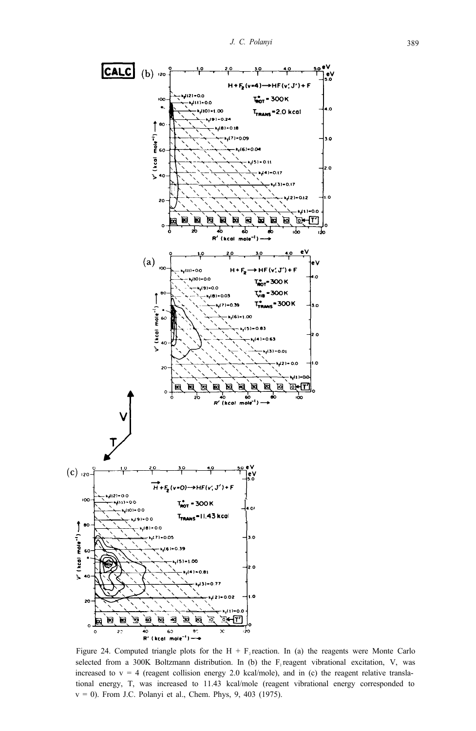i n



Figure 24. Computed triangle plots for the  $H + F_2$  reaction. In (a) the reagents were Monte Carlo selected from a 300K Boltzmann distribution. In (b) the  $F_2$  reagent vibrational excitation, V, was increased to  $v = 4$  (reagent collision energy 2.0 kcal/mole), and in (c) the reagent relative translational energy, T, was increased to 11.43 kcal/mole (reagent vibrational energy corresponded to v = 0). From J.C. Polanyi et al., Chem. Phys, 9, 403 (1975).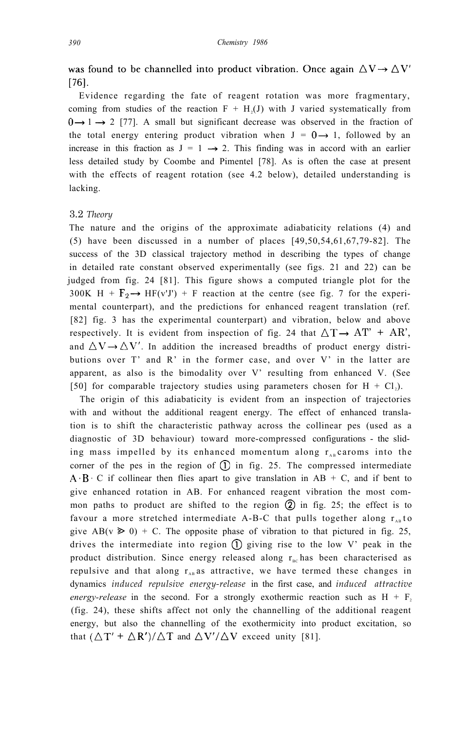was found to be channelled into product vibration. Once again  $\Delta V \rightarrow \Delta V'$  $[76]$ .

Evidence regarding the fate of reagent rotation was more fragmentary, coming from studies of the reaction  $F + H<sub>1</sub>(J)$  with J varied systematically from  $0 \rightarrow 1 \rightarrow 2$  [77]. A small but significant decrease was observed in the fraction of the total energy entering product vibration when  $J = 0 \rightarrow 1$ , followed by an increase in this fraction as  $J = 1 \rightarrow 2$ . This finding was in accord with an earlier less detailed study by Coombe and Pimentel [78]. As is often the case at present with the effects of reagent rotation (see 4.2 below), detailed understanding is lacking.

### 3.2 *Theory*

The nature and the origins of the approximate adiabaticity relations (4) and (5) have been discussed in a number of places [49,50,54,61,67,79-82]. The success of the 3D classical trajectory method in describing the types of change in detailed rate constant observed experimentally (see figs. 21 and 22) can be judged from fig. 24 [81]. This figure shows a computed triangle plot for the 300K H +  $\Gamma_2 \rightarrow \text{HF}(vJ')$  + F reaction at the centre (see fig. 7 for the experimental counterpart), and the predictions for enhanced reagent translation (ref. [82] fig. 3 has the experimental counterpart) and vibration, below and above respectively. It is evident from inspection of fig. 24 that  $\Delta T \rightarrow AT' + AR'$ , and  $\Delta V \rightarrow \Delta V'$ . In addition the increased breadths of product energy distributions over T' and R' in the former case, and over V' in the latter are apparent, as also is the bimodality over V' resulting from enhanced V. (See [50] for comparable trajectory studies using parameters chosen for  $H + Cl<sub>2</sub>$ .

The origin of this adiabaticity is evident from an inspection of trajectories with and without the additional reagent energy. The effect of enhanced translation is to shift the characteristic pathway across the collinear pes (used as a diagnostic of 3D behaviour) toward more-compressed configurations - the sliding mass impelled by its enhanced momentum along  $r_{\rm s}$  caroms into the corner of the pes in the region of  $\odot$  in fig. 25. The compressed intermediate  $A \cdot B \cdot C$  if collinear then flies apart to give translation in  $AB + C$ , and if bent to give enhanced rotation in AB. For enhanced reagent vibration the most common paths to product are shifted to the region  $\overline{2}$  in fig. 25; the effect is to favour a more stretched intermediate A-B-C that pulls together along  $r_{AB}$  to give  $AB(v \ge 0) + C$ . The opposite phase of vibration to that pictured in fig. 25, drives the intermediate into region  $\Omega$  giving rise to the low V' peak in the product distribution. Since energy released along  $r_{\text{bc}}$  has been characterised as repulsive and that along  $r_{AB}$  as attractive, we have termed these changes in dynamics *induced repulsive energy-release* in the first case, and *induced attractive energy-release* in the second. For a strongly exothermic reaction such as  $H + F$ , (fig. 24), these shifts affect not only the channelling of the additional reagent energy, but also the channelling of the exothermicity into product excitation, so that  $(\Delta T' + \Delta R') / \Delta T$  and  $\Delta V' / \Delta V$  exceed unity [81].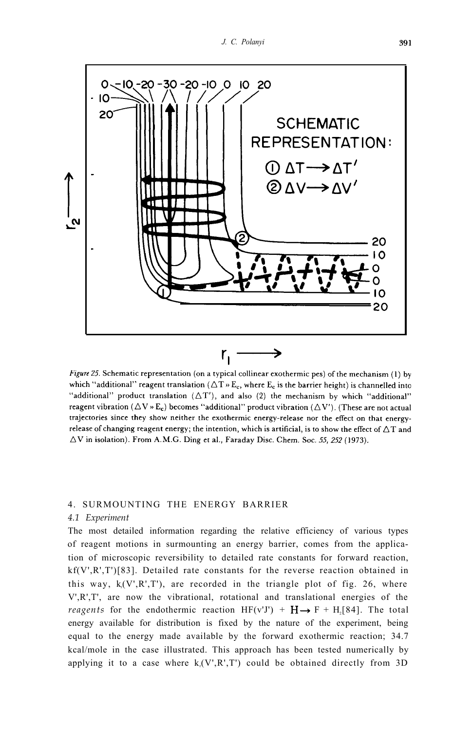

Figure 25. Schematic representation (on a typical collinear exothermic pes) of the mechanism (1) by which "additional" reagent translation ( $\Delta T \times E_c$ , where  $E_c$  is the barrier height) is channelled into "additional" product translation  $(\Delta T')$ , and also (2) the mechanism by which "additional" reagent vibration ( $\Delta V$  » E<sub>c</sub>) becomes "additional" product vibration ( $\Delta V'$ ). (These are not actual trajectories since they show neither the exothermic energy-release nor the effect on that energyrelease of changing reagent energy; the intention, which is artificial, is to show the effect of  $\Delta T$  and  $\Delta V$  in isolation). From A.M.G. Ding et al., Faraday Disc. Chem. Soc. 55, 252 (1973).

# 4. SURMOUNTING THE ENERGY BARRIER

# *4.1 Experiment*

The most detailed information regarding the relative efficiency of various types of reagent motions in surmounting an energy barrier, comes from the application of microscopic reversibility to detailed rate constants for forward reaction, kf(V',R',T')[83]. Detailed rate constants for the reverse reaction obtained in this way,  $k(N', R', T')$ , are recorded in the triangle plot of fig. 26, where V',R',T', are now the vibrational, rotational and translational energies of the *reagents* for the endothermic reaction  $HF(v'J') + H \rightarrow F + H[84]$ . The total energy available for distribution is fixed by the nature of the experiment, being equal to the energy made available by the forward exothermic reaction; 34.7 kcal/mole in the case illustrated. This approach has been tested numerically by applying it to a case where  $k$ ,  $(V', R', T')$  could be obtained directly from 3D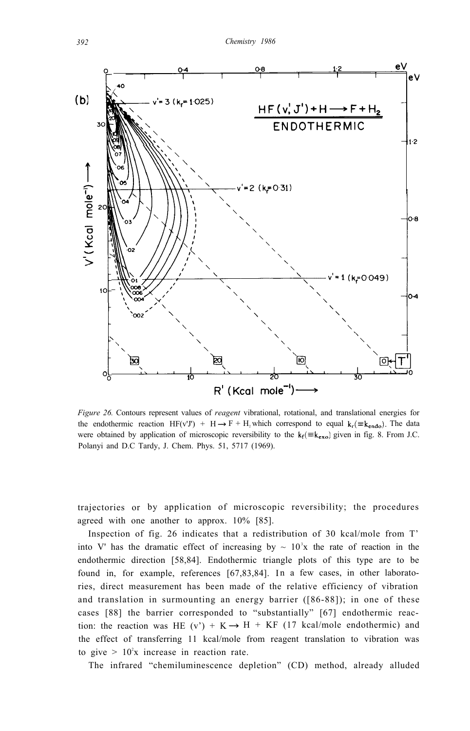

*Figure 26.* Contours represent values of *reagent* vibrational, rotational, and translational energies for the endothermic reaction HF(v'J') + H  $\rightarrow$  F + H, which correspond to equal  $k_r (\equiv k_{\text{endo}})$ . The data were obtained by application of microscopic reversibility to the  $k_f (\equiv k_{\text{exo}})$  given in fig. 8. From J.C. Polanyi and D.C Tardy, J. Chem. Phys. 51, 5717 (1969).

trajectories or by application of microscopic reversibility; the procedures agreed with one another to approx. 10% [85].

Inspection of fig. 26 indicates that a redistribution of 30 kcal/mole from T' into V' has the dramatic effect of increasing by  $\sim 10^{3}x$  the rate of reaction in the endothermic direction [58,84]. Endothermic triangle plots of this type are to be found in, for example, references [67,83,84]. In a few cases, in other laboratories, direct measurement has been made of the relative efficiency of vibration and translation in surmounting an energy barrier ([86-88]); in one of these cases [88] the barrier corresponded to "substantially" [67] endothermic reaction: the reaction was HE (v') + K  $\rightarrow$  H + KF (17 kcal/mole endothermic) and the effect of transferring 11 kcal/mole from reagent translation to vibration was to give  $> 10<sup>2</sup>x$  increase in reaction rate.

The infrared "chemiluminescence depletion" (CD) method, already alluded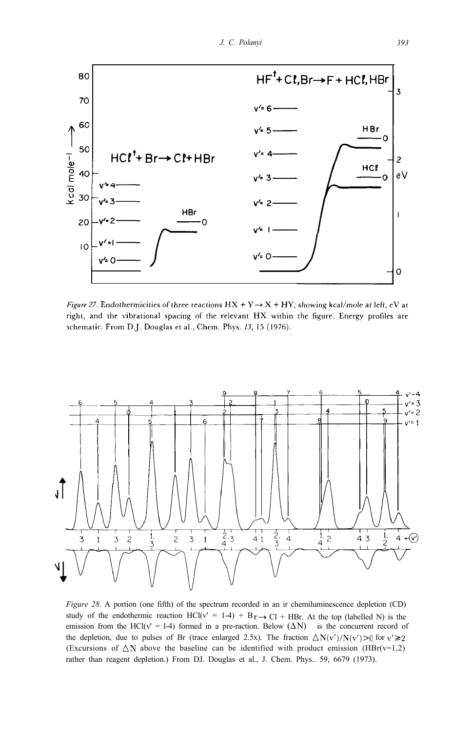

Figure 27. Endothermicities of three reactions  $HX + Y \rightarrow X + HY$ ; showing kcal/mole at left, eV at right, and the vibrational spacing of the relevant HX within the figure. Energy profiles are schematic. From D.J. Douglas et al., Chem. Phys. 13, 15 (1976).



*Figure 28.* A portion (one fifth) of the spectrum recorded in an ir chemiluminescence depletion (CD) study of the endothermic reaction HCl(v' = 1-4) +  $B_r \rightarrow Cl$  + HBr. At the top (labelled N) is the emission from the HCl(v' = l-4) formed in a pre-raction. Below  $(\Delta N)$  is the concurrent record of the depletion, due to pulses of Br (trace enlarged 2.5x). The fraction  $\Delta N(v')/N(v')>0$  for  $v'\geq 2$ . (Excursions of  $\Delta N$  above the baseline can be identified with product emission (HBr(v=1,2) rather than reagent depletion.) From DJ. Douglas et al., J. Chem. Phys.. 59, 6679 (1973).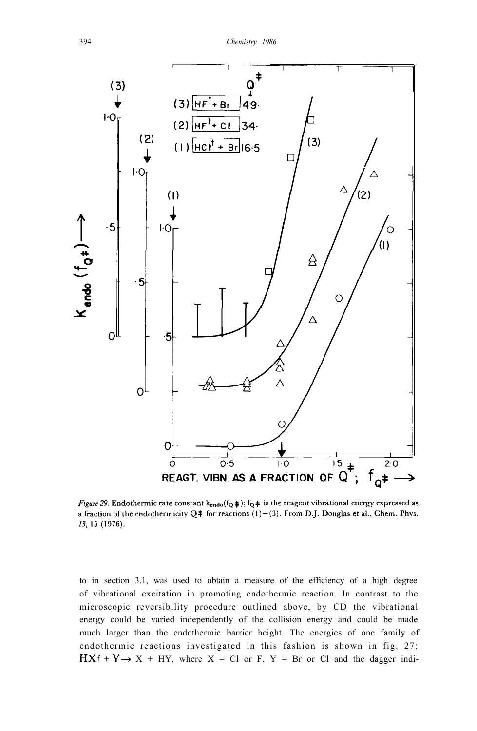

Figure 29. Endothermic rate constant  $k_{endo}(f_Q\ddagger); f_Q\ddagger$  is the reagent vibrational energy expressed as a fraction of the endothermicity  $Q\ddagger$  for reactions (1)-(3). From D.J. Douglas et al., Chem. Phys. 13, 15 (1976).

to in section 3.1, was used to obtain a measure of the efficiency of a high degree of vibrational excitation in promoting endothermic reaction. In contrast to the microscopic reversibility procedure outlined above, by CD the vibrational energy could be varied independently of the collision energy and could be made much larger than the endothermic barrier height. The energies of one family of endothermic reactions investigated in this fashion is shown in fig. 27;  $H X^{\dagger} + Y \rightarrow X + HY$ , where  $X = Cl$  or F,  $Y = Br$  or Cl and the dagger indi-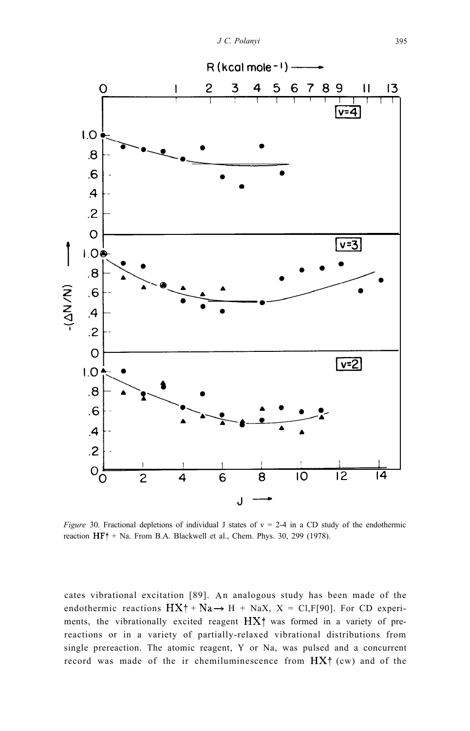

*Figure* 30. Fractional depletions of individual J states of  $v = 2-4$  in a CD study of the endothermic reaction  $HF^+$  + Na. From B.A. Blackwell et al., Chem. Phys. 30, 299 (1978).

cates vibrational excitation [89]. An analogous study has been made of the endothermic reactions  $HX^+ + Na \rightarrow H + NaX$ ,  $X = Cl,F[90]$ . For CD experiments, the vibrationally excited reagent  $HX$ <sup>+</sup> was formed in a variety of prereactions or in a variety of partially-relaxed vibrational distributions from single prereaction. The atomic reagent, Y or Na, was pulsed and a concurrent record was made of the ir chemiluminescence from  $H X^{\dagger}$  (cw) and of the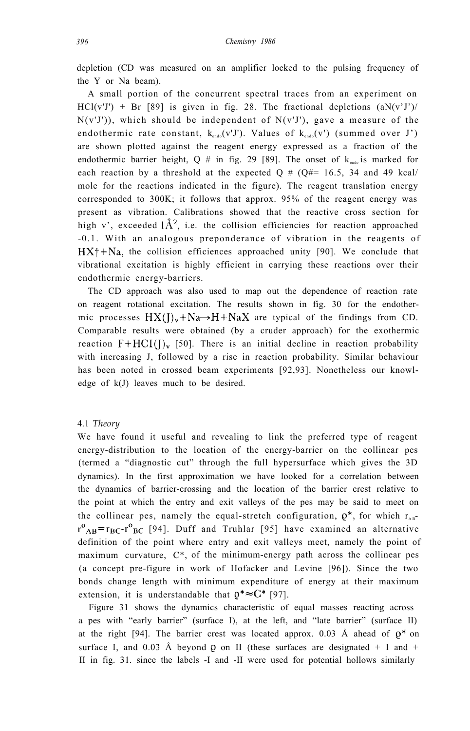depletion (CD was measured on an amplifier locked to the pulsing frequency of the Y or Na beam).

A small portion of the concurrent spectral traces from an experiment on  $HCl(v'J')$  + Br [89] is given in fig. 28. The fractional depletions  $(aN(v'J'))$  $N(v'J')$ , which should be independent of  $N(v'J')$ , gave a measure of the endothermic rate constant,  $k_{\text{end}}(v'J')$ . Values of  $k_{\text{end}}(v')$  (summed over J') are shown plotted against the reagent energy expressed as a fraction of the endothermic barrier height, Q # in fig. 29 [89]. The onset of  $k_{m0}$  is marked for each reaction by a threshold at the expected  $Q \# (Q#= 16.5, 34$  and 49 kcal/ mole for the reactions indicated in the figure). The reagent translation energy corresponded to 300K; it follows that approx. 95% of the reagent energy was present as vibration. Calibrations showed that the reactive cross section for high v', exceeded  $1\AA^2$ , i.e. the collision efficiencies for reaction approached -0.1. With an analogous preponderance of vibration in the reagents of  $H X^{\dagger} + Na$ , the collision efficiences approached unity [90]. We conclude that vibrational excitation is highly efficient in carrying these reactions over their endothermic energy-barriers.

The CD approach was also used to map out the dependence of reaction rate on reagent rotational excitation. The results shown in fig. 30 for the endothermic processes  $HX(I)_v + Na \rightarrow H + NaX$  are typical of the findings from CD. Comparable results were obtained (by a cruder approach) for the exothermic reaction  $F + HCI(J)_v$  [50]. There is an initial decline in reaction probability with increasing J, followed by a rise in reaction probability. Similar behaviour has been noted in crossed beam experiments [92,93]. Nonetheless our knowledge of k(J) leaves much to be desired.

#### 4.1 *Theory*

We have found it useful and revealing to link the preferred type of reagent energy-distribution to the location of the energy-barrier on the collinear pes (termed a "diagnostic cut" through the full hypersurface which gives the 3D dynamics). In the first approximation we have looked for a correlation between the dynamics of barrier-crossing and the location of the barrier crest relative to the point at which the entry and exit valleys of the pes may be said to meet on the collinear pes, namely the equal-stretch configuration,  $\mathbf{0}^*$ , for which  $r_{AB}$  $r^{o}$ <sub>AB</sub>= $r_{BC}$ - $r^{o}$ <sub>BC</sub> [94]. Duff and Truhlar [95] have examined an alternative definition of the point where entry and exit valleys meet, namely the point of maximum curvature, C\*, of the minimum-energy path across the collinear pes (a concept pre-figure in work of Hofacker and Levine [96]). Since the two bonds change length with minimum expenditure of energy at their maximum extension, it is understandable that  $\varrho^* \approx C^*$  [97].

Figure 31 shows the dynamics characteristic of equal masses reacting across a pes with "early barrier" (surface I), at the left, and "late barrier" (surface II) at the right [94]. The barrier crest was located approx. 0.03 Å ahead of  $Q^*$  on surface I, and 0.03 Å beyond  $\Omega$  on II (these surfaces are designated + I and + II in fig. 31. since the labels -I and -II were used for potential hollows similarly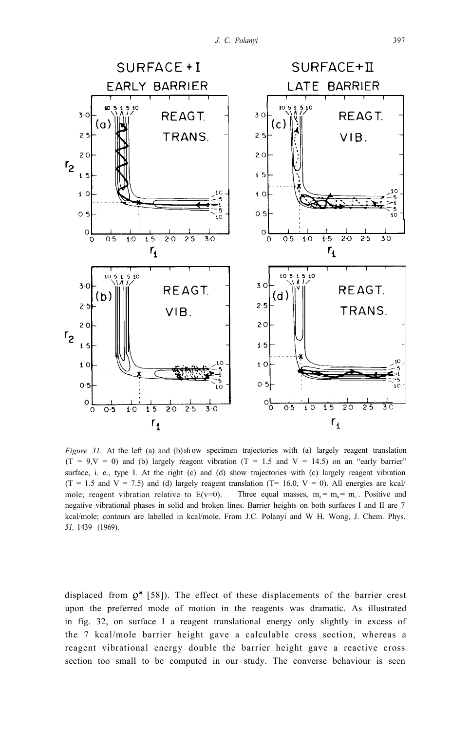

*Figure 31.* At the left (a) and (b) show specimen trajectories with (a) largely reagent translation  $(T = 9, V = 0)$  and (b) largely reagent vibration  $(T = 1.5$  and  $V = 14.5)$  on an "early barrier" surface, i. e., type I. At the right (c) and (d) show trajectories with (c) largely reagent vibration  $(T = 1.5$  and  $V = 7.5$ ) and (d) largely reagent translation  $(T = 16.0, V = 0)$ . All energies are kcal/ mole; reagent vibration relative to  $E(v=0)$ . Three equal masses,  $m<sub>a</sub> = m<sub>n</sub> = m<sub>c</sub>$ . Positive and negative vibrational phases in solid and broken lines. Barrier heights on both surfaces I and II are 7 kcal/mole; contours are labelled in kcal/mole. From J.C. Polanyi and W H. Wong, J. Chem. Phys. *51,* 1439 (1969).

displaced from  $\rho$ <sup>\*</sup> [58]). The effect of these displacements of the barrier crest upon the preferred mode of motion in the reagents was dramatic. As illustrated in fig. 32, on surface I a reagent translational energy only slightly in excess of the 7 kcal/mole barrier height gave a calculable cross section, whereas a reagent vibrational energy double the barrier height gave a reactive cross section too small to be computed in our study. The converse behaviour is seen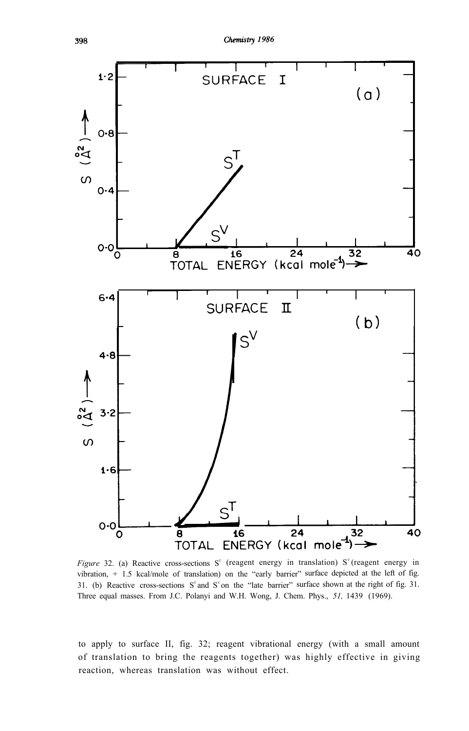

*Figure* 32. (a) Reactive cross-sections  $S^T$  (reagent energy in translation)  $S^V$  (reagent energy in vibration, + 1.5 kcal/mole of translation) on the "early barrier" surface depicted at the left of fig. 31. (b) Reactive cross-sections S<sup>T</sup> and S<sup>V</sup> on the "late barrier" surface shown at the right of fig. 31. Three equal masses. From J.C. Polanyi and W.H. Wong, J. Chem. Phys., *51,* 1439 (1969).

to apply to surface II, fig. 32; reagent vibrational energy (with a small amount of translation to bring the reagents together) was highly effective in giving reaction, whereas translation was without effect.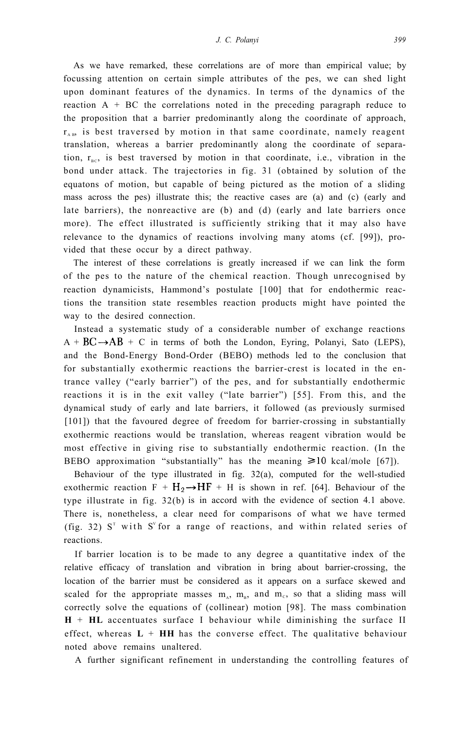As we have remarked, these correlations are of more than empirical value; by focussing attention on certain simple attributes of the pes, we can shed light upon dominant features of the dynamics. In terms of the dynamics of the reaction  $A + BC$  the correlations noted in the preceding paragraph reduce to the proposition that a barrier predominantly along the coordinate of approach,  $r_{AB}$ , is best traversed by motion in that same coordinate, namely reagent translation, whereas a barrier predominantly along the coordinate of separation,  $r_{\text{BC}}$  is best traversed by motion in that coordinate, i.e., vibration in the bond under attack. The trajectories in fig. 31 (obtained by solution of the equatons of motion, but capable of being pictured as the motion of a sliding mass across the pes) illustrate this; the reactive cases are (a) and (c) (early and late barriers), the nonreactive are (b) and (d) (early and late barriers once more). The effect illustrated is sufficiently striking that it may also have relevance to the dynamics of reactions involving many atoms (cf. [99]), provided that these occur by a direct pathway.

The interest of these correlations is greatly increased if we can link the form of the pes to the nature of the chemical reaction. Though unrecognised by reaction dynamicists, Hammond's postulate [100] that for endothermic reactions the transition state resembles reaction products might have pointed the way to the desired connection.

Instead a systematic study of a considerable number of exchange reactions  $A + BC \rightarrow AB + C$  in terms of both the London, Eyring, Polanyi, Sato (LEPS), and the Bond-Energy Bond-Order (BEBO) methods led to the conclusion that for substantially exothermic reactions the barrier-crest is located in the entrance valley ("early barrier") of the pes, and for substantially endothermic reactions it is in the exit valley ("late barrier") [55]. From this, and the dynamical study of early and late barriers, it followed (as previously surmised [101]) that the favoured degree of freedom for barrier-crossing in substantially exothermic reactions would be translation, whereas reagent vibration would be most effective in giving rise to substantially endothermic reaction. (In the BEBO approximation "substantially" has the meaning  $\geq 10$  kcal/mole [67]).

Behaviour of the type illustrated in fig. 32(a), computed for the well-studied exothermic reaction  $F + H_2 \rightarrow HF + H$  is shown in ref. [64]. Behaviour of the type illustrate in fig. 32(b) is in accord with the evidence of section 4.1 above. There is, nonetheless, a clear need for comparisons of what we have termed (fig. 32)  $S<sup>T</sup>$  with  $S<sup>V</sup>$  for a range of reactions, and within related series of reactions.

If barrier location is to be made to any degree a quantitative index of the relative efficacy of translation and vibration in bring about barrier-crossing, the location of the barrier must be considered as it appears on a surface skewed and scaled for the appropriate masses  $m_A$ ,  $m_B$ , and  $m_C$ , so that a sliding mass will correctly solve the equations of (collinear) motion [98]. The mass combination **H** + **HL** accentuates surface I behaviour while diminishing the surface II effect, whereas  $L + HH$  has the converse effect. The qualitative behaviour noted above remains unaltered.

A further significant refinement in understanding the controlling features of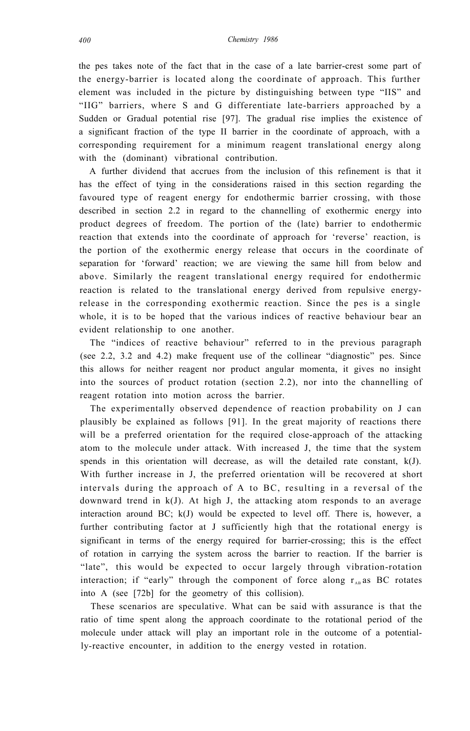the pes takes note of the fact that in the case of a late barrier-crest some part of the energy-barrier is located along the coordinate of approach. This further element was included in the picture by distinguishing between type "IIS" and "IIG" barriers, where S and G differentiate late-barriers approached by a Sudden or Gradual potential rise [97]. The gradual rise implies the existence of a significant fraction of the type II barrier in the coordinate of approach, with a corresponding requirement for a minimum reagent translational energy along with the (dominant) vibrational contribution.

A further dividend that accrues from the inclusion of this refinement is that it has the effect of tying in the considerations raised in this section regarding the favoured type of reagent energy for endothermic barrier crossing, with those described in section 2.2 in regard to the channelling of exothermic energy into product degrees of freedom. The portion of the (late) barrier to endothermic reaction that extends into the coordinate of approach for 'reverse' reaction, is the portion of the exothermic energy release that occurs in the coordinate of separation for 'forward' reaction; we are viewing the same hill from below and above. Similarly the reagent translational energy required for endothermic reaction is related to the translational energy derived from repulsive energyrelease in the corresponding exothermic reaction. Since the pes is a single whole, it is to be hoped that the various indices of reactive behaviour bear an evident relationship to one another.

The "indices of reactive behaviour" referred to in the previous paragraph (see 2.2, 3.2 and 4.2) make frequent use of the collinear "diagnostic" pes. Since this allows for neither reagent nor product angular momenta, it gives no insight into the sources of product rotation (section 2.2), nor into the channelling of reagent rotation into motion across the barrier.

The experimentally observed dependence of reaction probability on J can plausibly be explained as follows [91]. In the great majority of reactions there will be a preferred orientation for the required close-approach of the attacking atom to the molecule under attack. With increased J, the time that the system spends in this orientation will decrease, as will the detailed rate constant, k(J). With further increase in J, the preferred orientation will be recovered at short intervals during the approach of A to BC, resulting in a reversal of the downward trend in k(J). At high J, the attacking atom responds to an average interaction around BC;  $k(J)$  would be expected to level off. There is, however, a further contributing factor at J sufficiently high that the rotational energy is significant in terms of the energy required for barrier-crossing; this is the effect of rotation in carrying the system across the barrier to reaction. If the barrier is "late", this would be expected to occur largely through vibration-rotation interaction; if "early" through the component of force along  $r_{AB}$  as BC rotates into A (see [72b] for the geometry of this collision).

These scenarios are speculative. What can be said with assurance is that the ratio of time spent along the approach coordinate to the rotational period of the molecule under attack will play an important role in the outcome of a potentially-reactive encounter, in addition to the energy vested in rotation.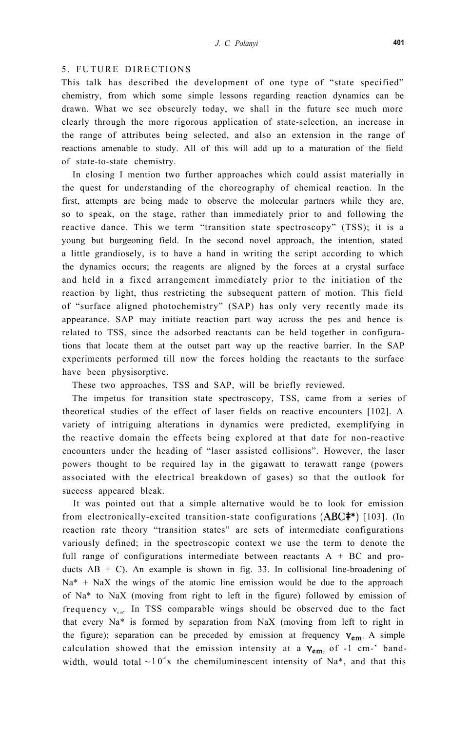### 5. FUTURE DIRECTIONS

This talk has described the development of one type of "state specified" chemistry, from which some simple lessons regarding reaction dynamics can be drawn. What we see obscurely today, we shall in the future see much more clearly through the more rigorous application of state-selection, an increase in the range of attributes being selected, and also an extension in the range of reactions amenable to study. All of this will add up to a maturation of the field of state-to-state chemistry.

In closing I mention two further approaches which could assist materially in the quest for understanding of the choreography of chemical reaction. In the first, attempts are being made to observe the molecular partners while they are, so to speak, on the stage, rather than immediately prior to and following the reactive dance. This we term "transition state spectroscopy" (TSS); it is a young but burgeoning field. In the second novel approach, the intention, stated a little grandiosely, is to have a hand in writing the script according to which the dynamics occurs; the reagents are aligned by the forces at a crystal surface and held in a fixed arrangement immediately prior to the initiation of the reaction by light, thus restricting the subsequent pattern of motion. This field of "surface aligned photochemistry" (SAP) has only very recently made its appearance. SAP may initiate reaction part way across the pes and hence is related to TSS, since the adsorbed reactants can be held together in configurations that locate them at the outset part way up the reactive barrier. In the SAP experiments performed till now the forces holding the reactants to the surface have been physisorptive.

These two approaches, TSS and SAP, will be briefly reviewed.

The impetus for transition state spectroscopy, TSS, came from a series of theoretical studies of the effect of laser fields on reactive encounters [102]. A variety of intriguing alterations in dynamics were predicted, exemplifying in the reactive domain the effects being explored at that date for non-reactive encounters under the heading of "laser assisted collisions". However, the laser powers thought to be required lay in the gigawatt to terawatt range (powers associated with the electrical breakdown of gases) so that the outlook for success appeared bleak.

It was pointed out that a simple alternative would be to look for emission from electronically-excited transition-state configurations ( $ABC$ <sup>\*\*</sup>) [103]. (In reaction rate theory "transition states" are sets of intermediate configurations variously defined; in the spectroscopic context we use the term to denote the full range of configurations intermediate between reactants  $A + BC$  and products  $AB + C$ ). An example is shown in fig. 33. In collisional line-broadening of  $Na^*$  + NaX the wings of the atomic line emission would be due to the approach of Na\* to NaX (moving from right to left in the figure) followed by emission of frequency  $v_{\text{em}}$ . In TSS comparable wings should be observed due to the fact that every Na\* is formed by separation from NaX (moving from left to right in the figure); separation can be preceded by emission at frequency  $V_{em}$ . A simple calculation showed that the emission intensity at a  $v_{em}$ , of -1 cm-' bandwidth, would total  $\sim 10^{-6}x$  the chemiluminescent intensity of Na\*, and that this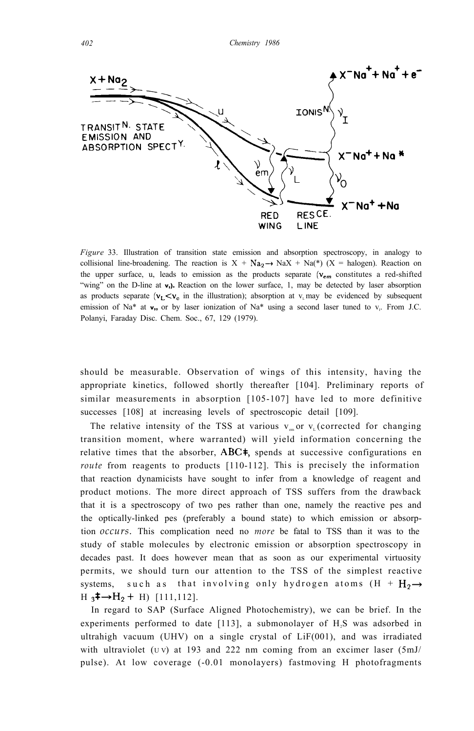

*Figure* 33. Illustration of transition state emission and absorption spectroscopy, in analogy to collisional line-broadening. The reaction is  $X + Na_2 \rightarrow NaX + Na(*)$  (X = halogen). Reaction on the upper surface, u, leads to emission as the products separate ( $v_{em}$  constitutes a red-shifted "wing" on the D-line at v<sub>1</sub>). Reaction on the lower surface, 1, may be detected by laser absorption as products separate  $(v_L < v_0$  in the illustration); absorption at  $v_L$  may be evidenced by subsequent emission of Na\* at  $v_n$ , or by laser ionization of Na\* using a second laser tuned to  $v_i$ . From J.C. Polanyi, Faraday Disc. Chem. Soc., 67, 129 (1979).

should be measurable. Observation of wings of this intensity, having the appropriate kinetics, followed shortly thereafter [104]. Preliminary reports of similar measurements in absorption [105-107] have led to more definitive successes [108] at increasing levels of spectroscopic detail [109].

The relative intensity of the TSS at various  $v_{\infty}$  or  $v_{\in}$  (corrected for changing transition moment, where warranted) will yield information concerning the relative times that the absorber,  $ABC\ddagger$ , spends at successive configurations en *route* from reagents to products [110-112]. This is precisely the information that reaction dynamicists have sought to infer from a knowledge of reagent and product motions. The more direct approach of TSS suffers from the drawback that it is a spectroscopy of two pes rather than one, namely the reactive pes and the optically-linked pes (preferably a bound state) to which emission or absorption *occurs.* This complication need no *more* be fatal to TSS than it was to the study of stable molecules by electronic emission or absorption spectroscopy in decades past. It does however mean that as soon as our experimental virtuosity permits, we should turn our attention to the TSS of the simplest reactive systems, such as that involving only hydrogen atoms  $(H + H_2 \rightarrow$  $H_3^{\ddagger} \rightarrow H_2 + H$  [111,112].

In regard to SAP (Surface Aligned Photochemistry), we can be brief. In the experiments performed to date [113], a submonolayer of H2S was adsorbed in ultrahigh vacuum (UHV) on a single crystal of LiF(001), and was irradiated with ultraviolet ( $UV$ ) at 193 and 222 nm coming from an excimer laser ( $5mJ$ ) pulse). At low coverage (-0.01 monolayers) fastmoving H photofragments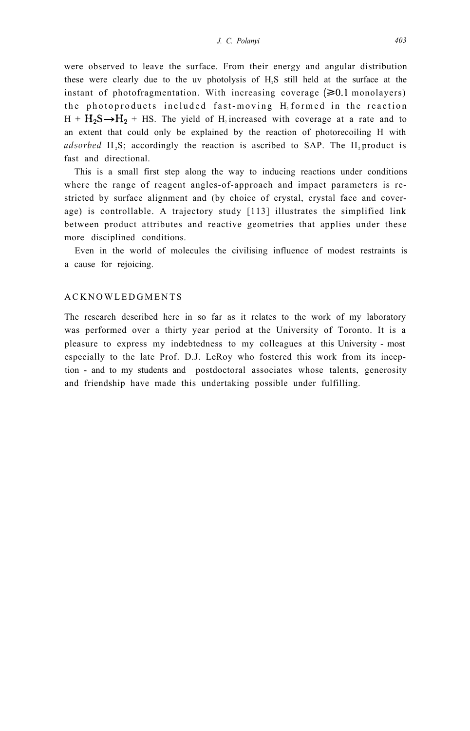were observed to leave the surface. From their energy and angular distribution these were clearly due to the uv photolysis of H2S still held at the surface at the instant of photofragmentation. With increasing coverage  $(\geq 0.1 \text{ monolayers})$ the photoproducts included fast-moving H, formed in the reaction  $H + H_2S \rightarrow H_2$  + HS. The yield of H<sub>2</sub> increased with coverage at a rate and to an extent that could only be explained by the reaction of photorecoiling H with *adsorbed* H<sub>2</sub>S; accordingly the reaction is ascribed to SAP. The H<sub>2</sub> product is fast and directional.

This is a small first step along the way to inducing reactions under conditions where the range of reagent angles-of-approach and impact parameters is restricted by surface alignment and (by choice of crystal, crystal face and coverage) is controllable. A trajectory study [113] illustrates the simplified link between product attributes and reactive geometries that applies under these more disciplined conditions.

Even in the world of molecules the civilising influence of modest restraints is a cause for rejoicing.

#### A C K N O W L E D G M E N T S

The research described here in so far as it relates to the work of my laboratory was performed over a thirty year period at the University of Toronto. It is a pleasure to express my indebtedness to my colleagues at this University - most especially to the late Prof. D.J. LeRoy who fostered this work from its inception - and to my students and postdoctoral associates whose talents, generosity and friendship have made this undertaking possible under fulfilling.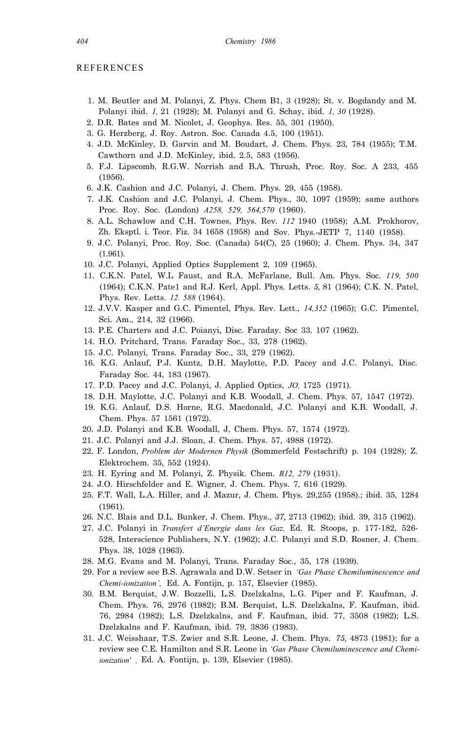#### REFERENCES

- 1. M. Beutler and M. Polanyi, Z. Phys. Chem B1, 3 (1928); St. v. Bogdandy and M. Polanyi ibid. *1,* 21 (1928); M. Polanyi and G. Schay, ibid. *1, 30* (1928).
- 2. D.R. Bates and M. Nicolet, J. Geophys. Res. 55, 301 (1950).
- 3. G. Herzberg, J. Roy. Astron. Soc. Canada 4.5, 100 (1951).
- 4. J.D. McKinley, D. Garvin and M. Boudart, J. Chem. Phys. 23, 784 (1955); T.M. Cawthorn and J.D. McKinley, ibid. 2.5, 583 (1956).
- 5. F.J. Lipscomb, R.G.W. Norrish and B.A. Thrush, Proc. Roy. Soc. A 233, 455 (1956).
- 6. J.K. Cashion and J.C. Polanyi, J. Chem. Phys. 29, 455 (1958).
- 7. J.K. Cashion and J.C. Polanyi, J. Chem. Phys., 30, 1097 (1959); same authors Proc. Roy. Soc. (London) *A258, 529, 564,570* (1960).
- 8. A.L. Schawlow and C.H. Townes, Phys. Rev. *112* 1940 (1958); A.M. Prokhorov, Zh. Eksptl. i. Teor. Fiz. 34 1658 (1958) and Sov. Phys.-JETP 7, 1140 (1958).
- 9. J.C. Polanyi, Proc. Roy. Soc. (Canada) 54(C), 25 (1960); J. Chem. Phys. 34, 347 (1.961).
- 10. J.C. Polanyi, Applied Optics Supplement 2, 109 (1965).
- 11. C.K.N. Patel, W.L Faust, and R.A. McFarlane, Bull. Am. Phys. Soc. *119, 500* (1964); C.K.N. Pate1 and R.J. Kerl, Appl. Phys. Letts. *5,* 81 (1964); C.K. N. Patel, Phys. Rev. Letts. *12. 588* (1964).
- 12. J.V.V. Kasper and G.C. Pimentel, Phys. Rev. Lett., *14,352* (1965); G.C. Pimentel, Sci. Am., 214, 32 (1966).
- 13. P.E. Charters and J.C. Poianyi, Disc. Faraday. Soc 33. 107 (1962).
- 14. H.O. Pritchard, Trans. Faraday Soc., 33, 278 (1962).
- 15. J.C. Polanyi, Trans. Faraday Soc., 33, 279 (1962).
- 16. K.G. Anlauf, P.J. Kuntz, D.H. Maylotte, P.D. Pacey and J.C. Polanyi, Disc. Faraday Soc. 44, 183 (1967).
- 17. P.D. Pacey and J.C. Polanyi, J. Applied Optics, *JO,* 1725 (1971).
- 18. D.H. Maylotte, J.C. Polanyi and K.B. Woodall, J. Chem. Phys. 57, 1547 (1972).
- 19. K.G. Anlauf, D.S. Horne, R.G. Macdonald, J.C. Polanyi and K.B. Woodall, J. Chem. Phys. 57 1561 (1972).
- 20. J.D. Polanyi and K.B. Woodall, J, Chem. Phys. 57, 1574 (1972).
- 21. J.C. Polanyi and J.J. Sloan, J. Chem. Phys. 57, 4988 (1972).
- 22. F. London, *Problem der Modernen Physik* (Sommerfeld Festschrift) p. 104 (1928); Z. Elektrochem. 35, 552 (1924).
- 23. H. Eyring and M. Polanyi, Z. Physik. Chem. *B12, 279* (1931).
- 24. J.O. Hirschfelder and E. Wigner, J. Chem. Phys. 7, 616 (1929).
- 25. F.T. Wall, L.A. Hiller, and J. Mazur, J. Chem. Phys. 29,255 (1958).; ibid. 35, 1284 (1961).
- 26. N.C. Blais and D.L. Bunker, J. Chem. Phys., *37,* 2713 (1962); ibid. 39, 315 (1962).
- 27. J.C. Polanyi in *Transfert d'Energie dans les Gaz,* Ed. R. Stoops, p. 177-182, 526- 528, Interscience Publishers, N.Y. (1962); J.C. Polanyi and S.D. Rosner, J. Chem. Phys. 38, 1028 (1963).
- 28. M.G. Evans and M. Polanyi, Trans. Faraday Soc., 35, 178 (1939).
- 29. For a review see B.S. Agrawala and D.W. Setser in *'Gas Phase Chemiluminescence and Chemi-ionization',* Ed. A. Fontijn, p. 157, Elsevier (1985).
- 30. B.M. Berquist, J.W. Bozzelli, L.S. Dzelzkalns, L.G. Piper and F. Kaufman, J. Chem. Phys. 76, 2976 (1982); B.M. Berquist, L.S. Dzelzkalns, F. Kaufman, ibid. 76, 2984 (1982); L.S. Dzelzkalns, and F. Kaufman, ibid. 77, 3508 (1982); L.S. Dzelzkalns and F. Kaufman, ibid. 79, 3836 (1983).
- 31. J.C. Weisshaar, T.S. Zwier and S.R. Leone, J. Chem. Phys. *75,* 4873 (1981); for a review see C.E. Hamilton and S.R. Leone in *'Gas Phase Chemiluminescence and Chemiionization' ,* Ed. A. Fontijn, p. 139, Elsevier (1985).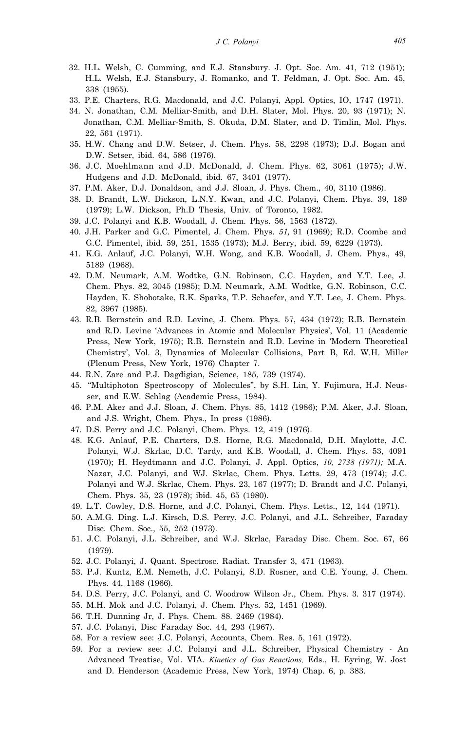- 32. H.L. Welsh, C. Cumming, and E.J. Stansbury. J. Opt. Soc. Am. 41, 712 (1951); H.L. Welsh, E.J. Stansbury, J. Romanko, and T. Feldman, J. Opt. Soc. Am. 45, 338 (1955).
- 33. P.E. Charters, R.G. Macdonald, and J.C. Polanyi, Appl. Optics, IO, 1747 (1971).
- 34. N. Jonathan, C.M. Melliar-Smith, and D.H. Slater, Mol. Phys. 20, 93 (1971); N. Jonathan, C.M. Melliar-Smith, S. Okuda, D.M. Slater, and D. Timlin, Mol. Phys. 22, 561 (1971).
- 35. H.W. Chang and D.W. Setser, J. Chem. Phys. 58, 2298 (1973); D.J. Bogan and D.W. Setser, ibid. 64, 586 (1976).
- 36. J.C. Moehlmann and J.D. McDonald, J. Chem. Phys. 62, 3061 (1975); J.W. Hudgens and J.D. McDonald, ibid. 67, 3401 (1977).
- 37. P.M. Aker, D.J. Donaldson, and J.J. Sloan, J. Phys. Chem., 40, 3110 (1986).
- 38. D. Brandt, L.W. Dickson, L.N.Y. Kwan, and J.C. Polanyi, Chem. Phys. 39, 189 (1979); L.W. Dickson, Ph.D Thesis, Univ. of Toronto, 1982.
- 39. J.C. Polanyi and K.B. Woodall, J. Chem. Phys. 56, 1563 (1872).
- 40. J.H. Parker and G.C. Pimentel, J. Chem. Phys. *51,* 91 (1969); R.D. Coombe and G.C. Pimentel, ibid. 59, 251, 1535 (1973); M.J. Berry, ibid. 59, 6229 (1973).
- 41. K.G. Anlauf, J.C. Polanyi, W.H. Wong, and K.B. Woodall, J. Chem. Phys., 49, 5189 (1968).
- 42. D.M. Neumark, A.M. Wodtke, G.N. Robinson, C.C. Hayden, and Y.T. Lee, J. Chem. Phys. 82, 3045 (1985); D.M. Neumark, A.M. Wodtke, G.N. Robinson, C.C. Hayden, K. Shobotake, R.K. Sparks, T.P. Schaefer, and Y.T. Lee, J. Chem. Phys. 82, 3967 (1985).
- 43. R.B. Bernstein and R.D. Levine, J. Chem. Phys. 57, 434 (1972); R.B. Bernstein and R.D. Levine 'Advances in Atomic and Molecular Physics', Vol. 11 (Academic Press, New York, 1975); R.B. Bernstein and R.D. Levine in 'Modern Theoretical Chemistry', Vol. 3, Dynamics of Molecular Collisions, Part B, Ed. W.H. Miller (Plenum Press, New York, 1976) Chapter 7.
- 44. R.N. Zare and P.J. Dagdigian, Science, 185, 739 (1974).
- 45. "Multiphoton Spectroscopy of Molecules", by S.H. Lin, Y. Fujimura, H.J. Neusser, and E.W. Schlag (Academic Press, 1984).
- 46. P.M. Aker and J.J. Sloan, J. Chem. Phys. 85, 1412 (1986); P.M. Aker, J.J. Sloan, and J.S. Wright, Chem. Phys., In press (1986).
- 47. D.S. Perry and J.C. Polanyi, Chem. Phys. 12, 419 (1976).
- 48. K.G. Anlauf, P.E. Charters, D.S. Horne, R.G. Macdonald, D.H. Maylotte, J.C. Polanyi, W.J. Skrlac, D.C. Tardy, and K.B. Woodall, J. Chem. Phys. 53, 4091 (1970); H. Heydtmann and J.C. Polanyi, J. Appl. Optics, *10, 2738 (1971);* M.A. Nazar, J.C. Polanyi, and WJ. Skrlac, Chem. Phys. Letts. 29, 473 (1974); J.C. Polanyi and W.J. Skrlac, Chem. Phys. 23, 167 (1977); D. Brandt and J.C. Polanyi, Chem. Phys. 35, 23 (1978); ibid. 45, 65 (1980).
- 49. L.T. Cowley, D.S. Horne, and J.C. Polanyi, Chem. Phys. Letts., 12, 144 (1971).
- 50. A.M.G. Ding. L.J. Kirsch, D.S. Perry, J.C. Polanyi, and J.L. Schreiber, Faraday Disc. Chem. Soc., 55, 252 (1973).
- 51. J.C. Polanyi, J.L. Schreiber, and W.J. Skrlac, Faraday Disc. Chem. Soc. 67, 66 (1979).
- 52. J.C. Polanyi, J. Quant. Spectrosc. Radiat. Transfer 3, 471 (1963).
- 53. P.J. Kuntz, E.M. Nemeth, J.C. Polanyi, S.D. Rosner, and C.E. Young, J. Chem. Phys. 44, 1168 (1966).
- 54. D.S. Perry, J.C. Polanyi, and C. Woodrow Wilson Jr., Chem. Phys. 3. 317 (1974).
- 55. M.H. Mok and J.C. Polanyi, J. Chem. Phys. 52, 1451 (1969).
- 56. T.H. Dunning Jr, J. Phys. Chem. 88. 2469 (1984).
- 57. J.C. Polanyi, Disc Faraday Soc. 44, 293 (1967).
- 58. For a review see: J.C. Polanyi, Accounts, Chem. Res. 5, 161 (1972).
- 59. For a review see: J.C. Polanyi and J.L. Schreiber, Physical Chemistry An Advanced Treatise, Vol. VIA. *Kinetics of Gas Reactions,* Eds., H. Eyring, W. Jost and D. Henderson (Academic Press, New York, 1974) Chap. 6, p. 383.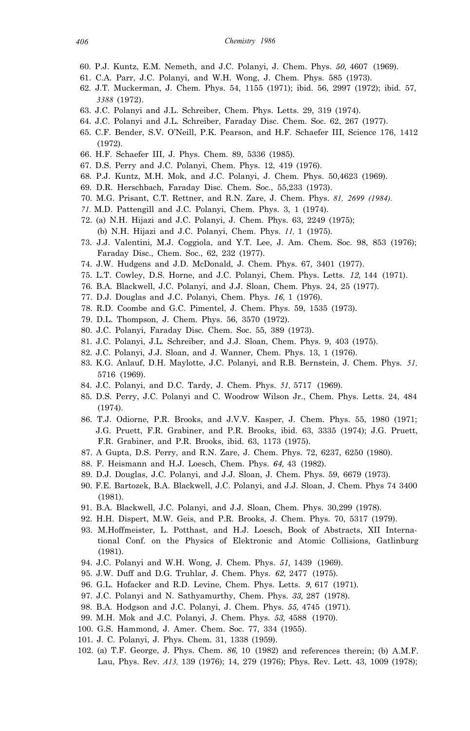- 60. P.J. Kuntz, E.M. Nemeth, and J.C. Polanyi, J. Chem. Phys. *50,* 4607 (1969).
- 61. C.A. Parr, J.C. Polanyi, and W.H. Wong, J. Chem. Phys. 585 (1973).
- 62. J.T. Muckerman, J. Chem. Phys. 54, 1155 (1971); ibid. 56, 2997 (1972); ibid. 57, *3388* (1972).
- 63. J.C. Polanyi and J.L. Schreiber, Chem. Phys. Letts. 29, 319 (1974).
- 64. J.C. Polanyi and J.L. Schreiber, Faraday Disc. Chem. Soc. 62, 267 (1977).
- 65. C.F. Bender, S.V. O'Neill, P.K. Pearson, and H.F. Schaefer III, Science 176, 1412 (1972).
- 66. H.F. Schaefer III, J. Phys. Chem. 89, 5336 (1985).
- 67. D.S. Perry and J.C. Polanyi, Chem. Phys. 12, 419 (1976).
- 68. P.J. Kuntz, M.H. Mok, and J.C. Polanyi, J. Chem. Phys. 50,4623 (1969).
- 69. D.R. Herschbach, Faraday Disc. Chem. Soc., 55,233 (1973).
- 70. M.G. Prisant, C.T. Rettner, and R.N. Zare, J. Chem. Phys. *81, 2699 (1984).*
- *71.* M.D. Pattengill and J.C. Polanyi, Chem. Phys. 3, 1 (1974).
- 72. (a) N.H. Hijazi and J.C. Polanyi, J. Chem. Phys. 63, 2249 (1975); (b) N.H. Hijazi and J.C. Polanyi, Chem. Phys. *11,* 1 (1975).
- 73. J.J. Valentini, M.J. Coggiola, and Y.T. Lee, J. Am. Chem. Soc. 98, 853 (1976); Faraday Disc., Chem. Soc., 62, 232 (1977).
- 74. J.W. Hudgens and J.D. McDonald, J. Chem. Phys. 67, 3401 (1977).
- 75. L.T. Cowley, D.S. Horne, and J.C. Polanyi, Chem. Phys. Letts. *12,* 144 (1971).
- 76. B.A. Blackwell, J.C. Polanyi, and J.J. Sloan, Chem. Phys. 24, 25 (1977).
- 77. D.J. Douglas and J.C. Polanyi, Chem. Phys. *16,* 1 (1976).
- 78. R.D. Coombe and G.C. Pimentel, J. Chem. Phys. 59, 1535 (1973).
- 79. D.L. Thompson, J. Chem. Phys. 56, 3570 (1972).
- 80. J.C. Polanyi, Faraday Disc. Chem. Soc. 55, 389 (1973).
- 81. J.C. Polanyi, J.L. Schreiber, and J.J. Sloan, Chem. Phys. 9, 403 (1975).
- 82. J.C. Polanyi, J.J. Sloan, and J. Wanner, Chem. Phys. 13, 1 (1976).
- 83. K.G. Anlauf, D.H. Maylotte, J.C. Polanyi, and R.B. Bernstein, J. Chem. Phys. *51,* 5716 (1969).
- 84. J.C. Polanyi, and D.C. Tardy, J. Chem. Phys. *51,* 5717 (1969).
- 85. D.S. Perry, J.C. Polanyi and C. Woodrow Wilson Jr., Chem. Phys. Letts. 24, 484 (1974).
- 86. T.J. Odiorne, P.R. Brooks, and J.V.V. Kasper, J. Chem. Phys. 55, 1980 (1971; J.G. Pruett, F.R. Grabiner, and P.R. Brooks, ibid. 63, 3335 (1974); J.G. Pruett, F.R. Grabiner, and P.R. Brooks, ibid. 63, 1173 (1975).
- 87. A Gupta, D.S. Perry, and R.N. Zare, J. Chem. Phys. 72, 6237, 6250 (1980).
- 88. F. Heismann and H.J. Loesch, Chem. Phys. *64,* 43 (1982).
- 89. D.J. Douglas, J.C. Polanyi, and J.J. Sloan, J. Chem. Phys. 59, 6679 (1973).
- 90. F.E. Bartozek, B.A. Blackwell, J.C. Polanyi, and J.J. Sloan, J. Chem. Phys 74 3400 (1981).
- 91. B.A. Blackwell, J.C. Polanyi, and J.J. Sloan, Chem. Phys. 30,299 (1978).
- 92. H.H. Dispert, M.W. Geis, and P.R. Brooks, J. Chem. Phys. 70, 5317 (1979).
- 93. M.Hoffmeister, L. Potthast, and H.J. Loesch, Book of Abstracts, XII International Conf. on the Physics of Elektronic and Atomic Collisions, Gatlinburg (1981).
- 94. J.C. Polanyi and W.H. Wong, J. Chem. Phys. *51,* 1439 (1969).
- 95. J.W. Duff and D.G. Truhlar, J. Chem. Phys. *62,* 2477 (1975).
- 96. G.L. Hofacker and R.D. Levine, Chem. Phys. Letts. *9,* 617 (1971).
- 97. J.C. Polanyi and N. Sathyamurthy, Chem. Phys. *33,* 287 (1978).
- 98. B.A. Hodgson and J.C. Polanyi, J. Chem. Phys. *55,* 4745 (1971).
- 99. M.H. Mok and J.C. Polanyi, J. Chem. Phys. *53,* 4588 (1970).
- 100. G.S. Hammond, J. Amer. Chem. Soc. 77, 334 (1955).
- 101. J. C. Polanyi, J. Phys. Chem. 31, 1338 (1959).
- 102. (a) T.F. George, J. Phys. Chem. *86,* 10 (1982) and references therein; (b) A.M.F. Lau, Phys. Rev. *A13,* 139 (1976); 14, 279 (1976); Phys. Rev. Lett. 43, 1009 (1978);